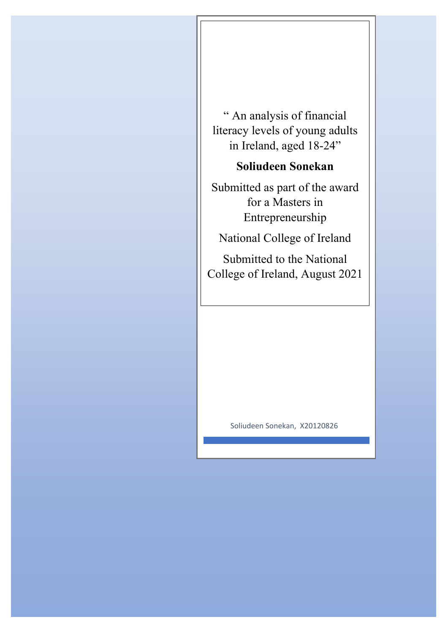" An analysis of financial literacy levels of young adults in Ireland, aged 18-24"

# **Soliudeen Sonekan**

Submitted as part of the award for a Masters in Entrepreneurship

National College of Ireland

Submitted to the National College of Ireland, August 2021

Soliudeen Sonekan, X20120826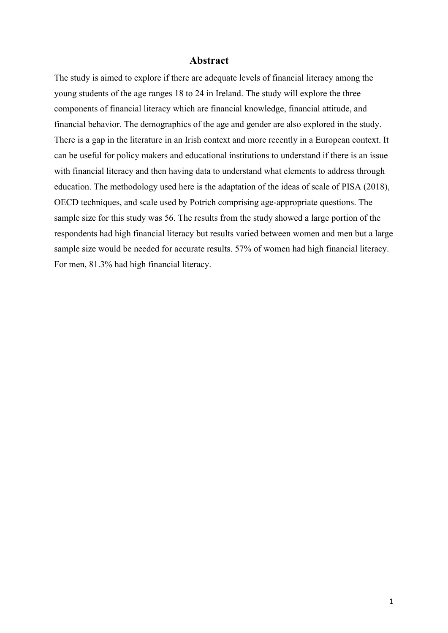#### **Abstract**

<span id="page-1-0"></span>The study is aimed to explore if there are adequate levels of financial literacy among the young students of the age ranges 18 to 24 in Ireland. The study will explore the three components of financial literacy which are financial knowledge, financial attitude, and financial behavior. The demographics of the age and gender are also explored in the study. There is a gap in the literature in an Irish context and more recently in a European context. It can be useful for policy makers and educational institutions to understand if there is an issue with financial literacy and then having data to understand what elements to address through education. The methodology used here is the adaptation of the ideas of scale of PISA (2018), OECD techniques, and scale used by Potrich comprising age-appropriate questions. The sample size for this study was 56. The results from the study showed a large portion of the respondents had high financial literacy but results varied between women and men but a large sample size would be needed for accurate results. 57% of women had high financial literacy. For men, 81.3% had high financial literacy.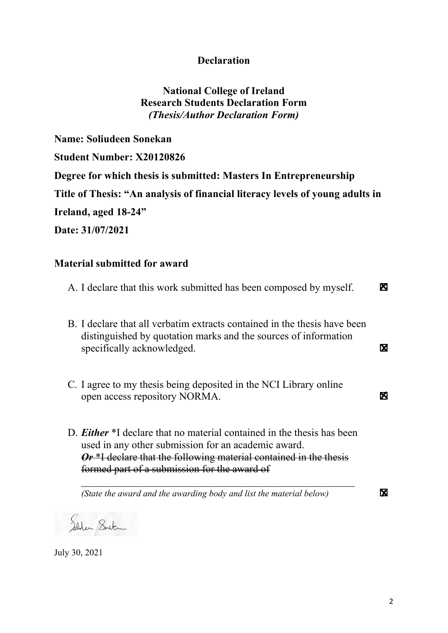# **Declaration**

# **National College of Ireland Research Students Declaration Form** *(Thesis/Author Declaration Form)*

<span id="page-2-0"></span>**Name: Soliudeen Sonekan Student Number: X20120826 Degree for which thesis is submitted: Masters In Entrepreneurship Title of Thesis: "An analysis of financial literacy levels of young adults in Ireland, aged 18-24" Date: 31/07/2021**

# **Material submitted for award**

| A. I declare that this work submitted has been composed by myself.                                                                                                                                                                                                      | М |
|-------------------------------------------------------------------------------------------------------------------------------------------------------------------------------------------------------------------------------------------------------------------------|---|
| B. I declare that all verbatim extracts contained in the thesis have been<br>distinguished by quotation marks and the sources of information<br>specifically acknowledged.                                                                                              | М |
| C. I agree to my thesis being deposited in the NCI Library online<br>open access repository NORMA.                                                                                                                                                                      | М |
| D. <b>Either</b> *I declare that no material contained in the thesis has been<br>used in any other submission for an academic award.<br>$Or$ <sup>*</sup> I declare that the following material contained in the thesis<br>formed part of a submission for the award of |   |
| (State the award and the awarding body and list the material below)                                                                                                                                                                                                     | М |

Salder Senter

July 30, 2021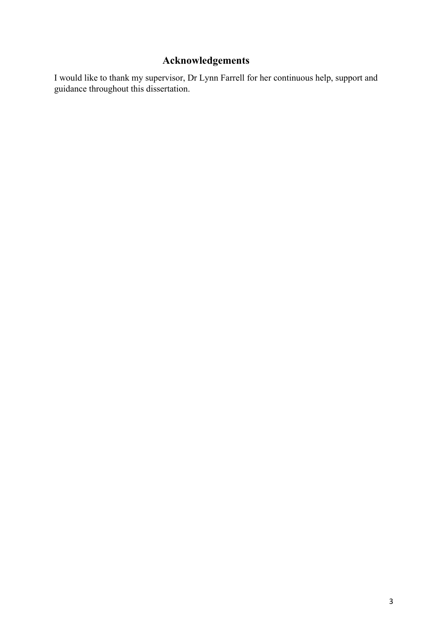# <span id="page-3-0"></span>**Acknowledgements**

I would like to thank my supervisor, Dr Lynn Farrell for her continuous help, support and guidance throughout this dissertation.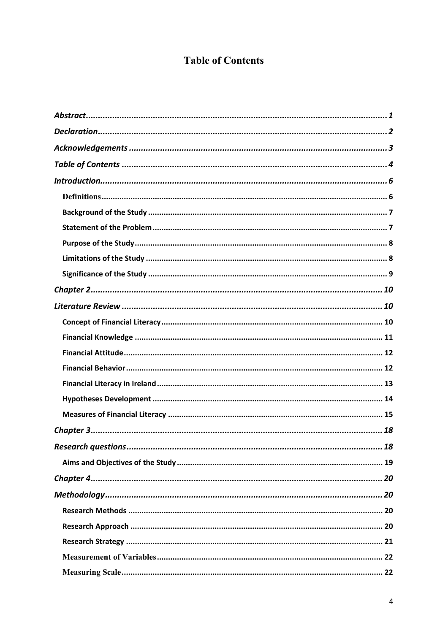# **Table of Contents**

<span id="page-4-0"></span>

| Research questions<br>18 |
|--------------------------|
|                          |
|                          |
|                          |
|                          |
|                          |
|                          |
|                          |
|                          |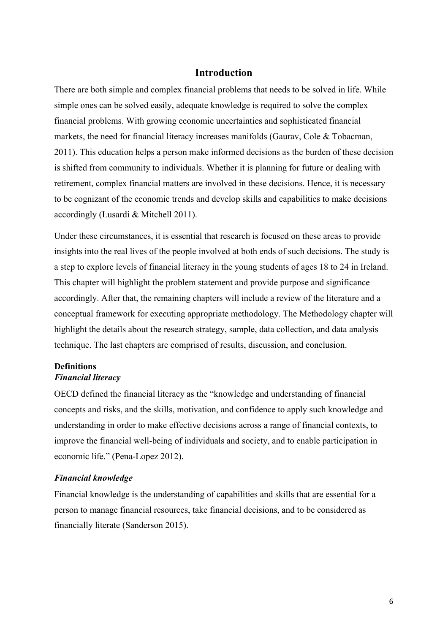# **Introduction**

<span id="page-6-0"></span>There are both simple and complex financial problems that needs to be solved in life. While simple ones can be solved easily, adequate knowledge is required to solve the complex financial problems. With growing economic uncertainties and sophisticated financial markets, the need for financial literacy increases manifolds (Gaurav, Cole & Tobacman, 2011). This education helps a person make informed decisions as the burden of these decision is shifted from community to individuals. Whether it is planning for future or dealing with retirement, complex financial matters are involved in these decisions. Hence, it is necessary to be cognizant of the economic trends and develop skills and capabilities to make decisions accordingly (Lusardi & Mitchell 2011).

Under these circumstances, it is essential that research is focused on these areas to provide insights into the real lives of the people involved at both ends of such decisions. The study is a step to explore levels of financial literacy in the young students of ages 18 to 24 in Ireland. This chapter will highlight the problem statement and provide purpose and significance accordingly. After that, the remaining chapters will include a review of the literature and a conceptual framework for executing appropriate methodology. The Methodology chapter will highlight the details about the research strategy, sample, data collection, and data analysis technique. The last chapters are comprised of results, discussion, and conclusion.

# <span id="page-6-1"></span>**Definitions**

# *Financial literacy*

OECD defined the financial literacy as the "knowledge and understanding of financial concepts and risks, and the skills, motivation, and confidence to apply such knowledge and understanding in order to make effective decisions across a range of financial contexts, to improve the financial well-being of individuals and society, and to enable participation in economic life." (Pena-Lopez 2012).

#### *Financial knowledge*

Financial knowledge is the understanding of capabilities and skills that are essential for a person to manage financial resources, take financial decisions, and to be considered as financially literate (Sanderson 2015).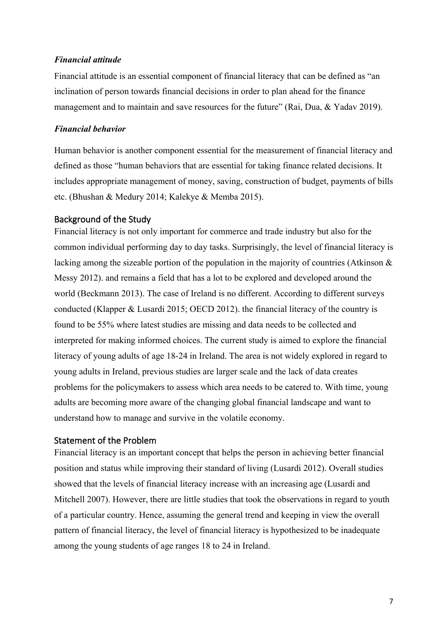#### *Financial attitude*

Financial attitude is an essential component of financial literacy that can be defined as "an inclination of person towards financial decisions in order to plan ahead for the finance management and to maintain and save resources for the future" (Rai, Dua, & Yadav 2019).

## *Financial behavior*

Human behavior is another component essential for the measurement of financial literacy and defined as those "human behaviors that are essential for taking finance related decisions. It includes appropriate management of money, saving, construction of budget, payments of bills etc. (Bhushan & Medury 2014; Kalekye & Memba 2015).

#### <span id="page-7-0"></span>Background of the Study

Financial literacy is not only important for commerce and trade industry but also for the common individual performing day to day tasks. Surprisingly, the level of financial literacy is lacking among the sizeable portion of the population in the majority of countries (Atkinson & Messy 2012). and remains a field that has a lot to be explored and developed around the world (Beckmann 2013). The case of Ireland is no different. According to different surveys conducted (Klapper & Lusardi 2015; OECD 2012). the financial literacy of the country is found to be 55% where latest studies are missing and data needs to be collected and interpreted for making informed choices. The current study is aimed to explore the financial literacy of young adults of age 18-24 in Ireland. The area is not widely explored in regard to young adults in Ireland, previous studies are larger scale and the lack of data creates problems for the policymakers to assess which area needs to be catered to. With time, young adults are becoming more aware of the changing global financial landscape and want to understand how to manage and survive in the volatile economy.

# <span id="page-7-1"></span>Statement of the Problem

Financial literacy is an important concept that helps the person in achieving better financial position and status while improving their standard of living (Lusardi 2012). Overall studies showed that the levels of financial literacy increase with an increasing age (Lusardi and Mitchell 2007). However, there are little studies that took the observations in regard to youth of a particular country. Hence, assuming the general trend and keeping in view the overall pattern of financial literacy, the level of financial literacy is hypothesized to be inadequate among the young students of age ranges 18 to 24 in Ireland.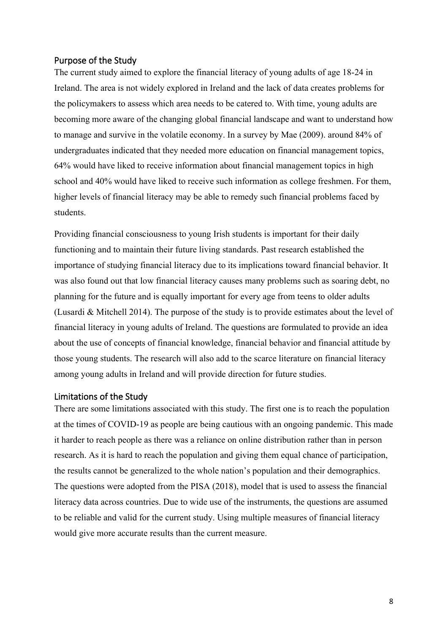#### <span id="page-8-0"></span>Purpose of the Study

The current study aimed to explore the financial literacy of young adults of age 18-24 in Ireland. The area is not widely explored in Ireland and the lack of data creates problems for the policymakers to assess which area needs to be catered to. With time, young adults are becoming more aware of the changing global financial landscape and want to understand how to manage and survive in the volatile economy. In a survey by Mae (2009). around 84% of undergraduates indicated that they needed more education on financial management topics, 64% would have liked to receive information about financial management topics in high school and 40% would have liked to receive such information as college freshmen. For them, higher levels of financial literacy may be able to remedy such financial problems faced by students.

Providing financial consciousness to young Irish students is important for their daily functioning and to maintain their future living standards. Past research established the importance of studying financial literacy due to its implications toward financial behavior. It was also found out that low financial literacy causes many problems such as soaring debt, no planning for the future and is equally important for every age from teens to older adults (Lusardi & Mitchell 2014). The purpose of the study is to provide estimates about the level of financial literacy in young adults of Ireland. The questions are formulated to provide an idea about the use of concepts of financial knowledge, financial behavior and financial attitude by those young students. The research will also add to the scarce literature on financial literacy among young adults in Ireland and will provide direction for future studies.

#### <span id="page-8-1"></span>Limitations of the Study

There are some limitations associated with this study. The first one is to reach the population at the times of COVID-19 as people are being cautious with an ongoing pandemic. This made it harder to reach people as there was a reliance on online distribution rather than in person research. As it is hard to reach the population and giving them equal chance of participation, the results cannot be generalized to the whole nation's population and their demographics. The questions were adopted from the PISA (2018), model that is used to assess the financial literacy data across countries. Due to wide use of the instruments, the questions are assumed to be reliable and valid for the current study. Using multiple measures of financial literacy would give more accurate results than the current measure.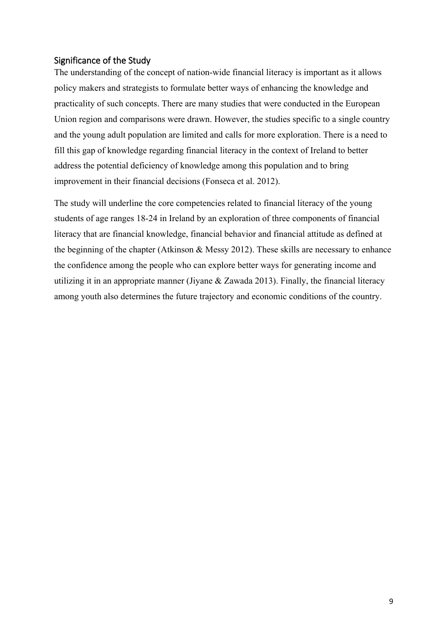# <span id="page-9-0"></span>Significance of the Study

The understanding of the concept of nation-wide financial literacy is important as it allows policy makers and strategists to formulate better ways of enhancing the knowledge and practicality of such concepts. There are many studies that were conducted in the European Union region and comparisons were drawn. However, the studies specific to a single country and the young adult population are limited and calls for more exploration. There is a need to fill this gap of knowledge regarding financial literacy in the context of Ireland to better address the potential deficiency of knowledge among this population and to bring improvement in their financial decisions (Fonseca et al. 2012).

The study will underline the core competencies related to financial literacy of the young students of age ranges 18-24 in Ireland by an exploration of three components of financial literacy that are financial knowledge, financial behavior and financial attitude as defined at the beginning of the chapter (Atkinson & Messy 2012). These skills are necessary to enhance the confidence among the people who can explore better ways for generating income and utilizing it in an appropriate manner (Jiyane & Zawada 2013). Finally, the financial literacy among youth also determines the future trajectory and economic conditions of the country.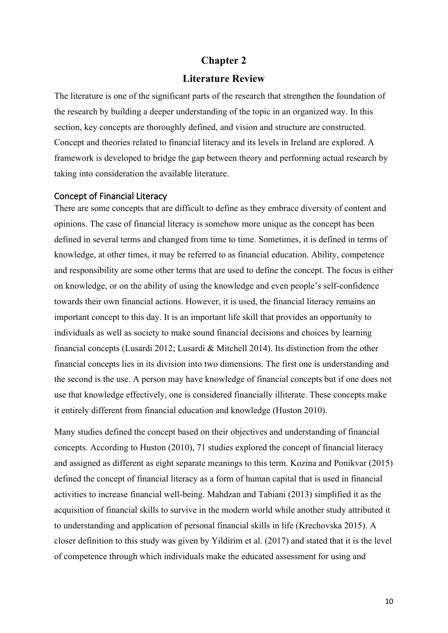# **Chapter 2**

# **Literature Review**

<span id="page-10-1"></span><span id="page-10-0"></span>The literature is one of the significant parts of the research that strengthen the foundation of the research by building a deeper understanding of the topic in an organized way. In this section, key concepts are thoroughly defined, and vision and structure are constructed. Concept and theories related to financial literacy and its levels in Ireland are explored. A framework is developed to bridge the gap between theory and performing actual research by taking into consideration the available literature.

#### <span id="page-10-2"></span>Concept of Financial Literacy

There are some concepts that are difficult to define as they embrace diversity of content and opinions. The case of financial literacy is somehow more unique as the concept has been defined in several terms and changed from time to time. Sometimes, it is defined in terms of knowledge, at other times, it may be referred to as financial education. Ability, competence and responsibility are some other terms that are used to define the concept. The focus is either on knowledge, or on the ability of using the knowledge and even people's self-confidence towards their own financial actions. However, it is used, the financial literacy remains an important concept to this day. It is an important life skill that provides an opportunity to individuals as well as society to make sound financial decisions and choices by learning financial concepts (Lusardi 2012; Lusardi & Mitchell 2014). Its distinction from the other financial concepts lies in its division into two dimensions. The first one is understanding and the second is the use. A person may have knowledge of financial concepts but if one does not use that knowledge effectively, one is considered financially illiterate. These concepts make it entirely different from financial education and knowledge (Huston 2010).

Many studies defined the concept based on their objectives and understanding of financial concepts. According to Huston (2010), 71 studies explored the concept of financial literacy and assigned as different as eight separate meanings to this term. Kozina and Ponikvar (2015) defined the concept of financial literacy as a form of human capital that is used in financial activities to increase financial well-being. Mahdzan and Tabiani (2013) simplified it as the acquisition of financial skills to survive in the modern world while another study attributed it to understanding and application of personal financial skills in life (Krechovska 2015). A closer definition to this study was given by Yildirim et al. (2017) and stated that it is the level of competence through which individuals make the educated assessment for using and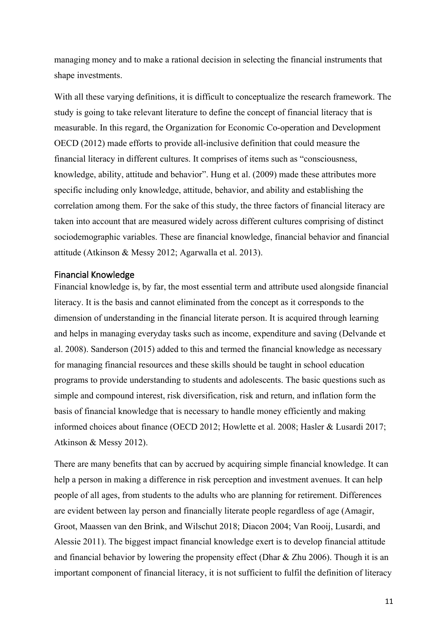managing money and to make a rational decision in selecting the financial instruments that shape investments.

With all these varying definitions, it is difficult to conceptualize the research framework. The study is going to take relevant literature to define the concept of financial literacy that is measurable. In this regard, the Organization for Economic Co-operation and Development OECD (2012) made efforts to provide all-inclusive definition that could measure the financial literacy in different cultures. It comprises of items such as "consciousness, knowledge, ability, attitude and behavior". Hung et al. (2009) made these attributes more specific including only knowledge, attitude, behavior, and ability and establishing the correlation among them. For the sake of this study, the three factors of financial literacy are taken into account that are measured widely across different cultures comprising of distinct sociodemographic variables. These are financial knowledge, financial behavior and financial attitude (Atkinson & Messy 2012; Agarwalla et al. 2013).

#### <span id="page-11-0"></span>Financial Knowledge

Financial knowledge is, by far, the most essential term and attribute used alongside financial literacy. It is the basis and cannot eliminated from the concept as it corresponds to the dimension of understanding in the financial literate person. It is acquired through learning and helps in managing everyday tasks such as income, expenditure and saving (Delvande et al. 2008). Sanderson (2015) added to this and termed the financial knowledge as necessary for managing financial resources and these skills should be taught in school education programs to provide understanding to students and adolescents. The basic questions such as simple and compound interest, risk diversification, risk and return, and inflation form the basis of financial knowledge that is necessary to handle money efficiently and making informed choices about finance (OECD 2012; Howlette et al. 2008; Hasler & Lusardi 2017; Atkinson & Messy 2012).

There are many benefits that can by accrued by acquiring simple financial knowledge. It can help a person in making a difference in risk perception and investment avenues. It can help people of all ages, from students to the adults who are planning for retirement. Differences are evident between lay person and financially literate people regardless of age (Amagir, Groot, Maassen van den Brink, and Wilschut 2018; Diacon 2004; Van Rooij, Lusardi, and Alessie 2011). The biggest impact financial knowledge exert is to develop financial attitude and financial behavior by lowering the propensity effect (Dhar & Zhu 2006). Though it is an important component of financial literacy, it is not sufficient to fulfil the definition of literacy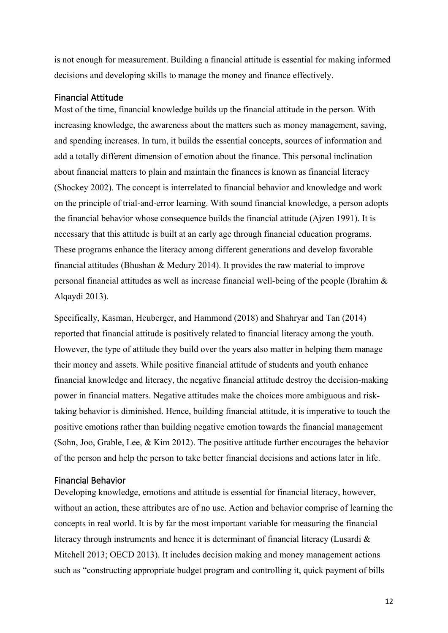is not enough for measurement. Building a financial attitude is essential for making informed decisions and developing skills to manage the money and finance effectively.

# <span id="page-12-0"></span>Financial Attitude

Most of the time, financial knowledge builds up the financial attitude in the person. With increasing knowledge, the awareness about the matters such as money management, saving, and spending increases. In turn, it builds the essential concepts, sources of information and add a totally different dimension of emotion about the finance. This personal inclination about financial matters to plain and maintain the finances is known as financial literacy (Shockey 2002). The concept is interrelated to financial behavior and knowledge and work on the principle of trial-and-error learning. With sound financial knowledge, a person adopts the financial behavior whose consequence builds the financial attitude (Ajzen 1991). It is necessary that this attitude is built at an early age through financial education programs. These programs enhance the literacy among different generations and develop favorable financial attitudes (Bhushan & Medury 2014). It provides the raw material to improve personal financial attitudes as well as increase financial well-being of the people (Ibrahim & Alqaydi 2013).

Specifically, Kasman, Heuberger, and Hammond (2018) and Shahryar and Tan (2014) reported that financial attitude is positively related to financial literacy among the youth. However, the type of attitude they build over the years also matter in helping them manage their money and assets. While positive financial attitude of students and youth enhance financial knowledge and literacy, the negative financial attitude destroy the decision-making power in financial matters. Negative attitudes make the choices more ambiguous and risktaking behavior is diminished. Hence, building financial attitude, it is imperative to touch the positive emotions rather than building negative emotion towards the financial management (Sohn, Joo, Grable, Lee, & Kim 2012). The positive attitude further encourages the behavior of the person and help the person to take better financial decisions and actions later in life.

#### <span id="page-12-1"></span>Financial Behavior

Developing knowledge, emotions and attitude is essential for financial literacy, however, without an action, these attributes are of no use. Action and behavior comprise of learning the concepts in real world. It is by far the most important variable for measuring the financial literacy through instruments and hence it is determinant of financial literacy (Lusardi & Mitchell 2013; OECD 2013). It includes decision making and money management actions such as "constructing appropriate budget program and controlling it, quick payment of bills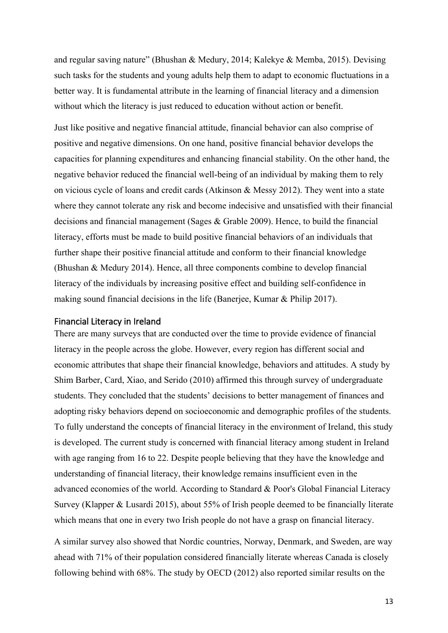and regular saving nature" (Bhushan & Medury, 2014; Kalekye & Memba, 2015). Devising such tasks for the students and young adults help them to adapt to economic fluctuations in a better way. It is fundamental attribute in the learning of financial literacy and a dimension without which the literacy is just reduced to education without action or benefit.

Just like positive and negative financial attitude, financial behavior can also comprise of positive and negative dimensions. On one hand, positive financial behavior develops the capacities for planning expenditures and enhancing financial stability. On the other hand, the negative behavior reduced the financial well-being of an individual by making them to rely on vicious cycle of loans and credit cards (Atkinson & Messy 2012). They went into a state where they cannot tolerate any risk and become indecisive and unsatisfied with their financial decisions and financial management (Sages & Grable 2009). Hence, to build the financial literacy, efforts must be made to build positive financial behaviors of an individuals that further shape their positive financial attitude and conform to their financial knowledge (Bhushan & Medury 2014). Hence, all three components combine to develop financial literacy of the individuals by increasing positive effect and building self-confidence in making sound financial decisions in the life (Banerjee, Kumar & Philip 2017).

#### <span id="page-13-0"></span>Financial Literacy in Ireland

There are many surveys that are conducted over the time to provide evidence of financial literacy in the people across the globe. However, every region has different social and economic attributes that shape their financial knowledge, behaviors and attitudes. A study by Shim Barber, Card, Xiao, and Serido (2010) affirmed this through survey of undergraduate students. They concluded that the students' decisions to better management of finances and adopting risky behaviors depend on socioeconomic and demographic profiles of the students. To fully understand the concepts of financial literacy in the environment of Ireland, this study is developed. The current study is concerned with financial literacy among student in Ireland with age ranging from 16 to 22. Despite people believing that they have the knowledge and understanding of financial literacy, their knowledge remains insufficient even in the advanced economies of the world. According to Standard & Poor's Global Financial Literacy Survey (Klapper & Lusardi 2015), about 55% of Irish people deemed to be financially literate which means that one in every two Irish people do not have a grasp on financial literacy.

A similar survey also showed that Nordic countries, Norway, Denmark, and Sweden, are way ahead with 71% of their population considered financially literate whereas Canada is closely following behind with 68%. The study by OECD (2012) also reported similar results on the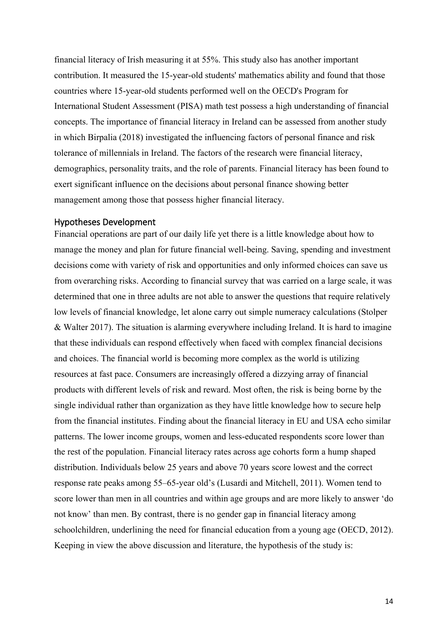financial literacy of Irish measuring it at 55%. This study also has another important contribution. It measured the 15-year-old students' mathematics ability and found that those countries where 15-year-old students performed well on the OECD's Program for International Student Assessment (PISA) math test possess a high understanding of financial concepts. The importance of financial literacy in Ireland can be assessed from another study in which Birpalia (2018) investigated the influencing factors of personal finance and risk tolerance of millennials in Ireland. The factors of the research were financial literacy, demographics, personality traits, and the role of parents. Financial literacy has been found to exert significant influence on the decisions about personal finance showing better management among those that possess higher financial literacy.

#### <span id="page-14-0"></span>Hypotheses Development

Financial operations are part of our daily life yet there is a little knowledge about how to manage the money and plan for future financial well-being. Saving, spending and investment decisions come with variety of risk and opportunities and only informed choices can save us from overarching risks. According to financial survey that was carried on a large scale, it was determined that one in three adults are not able to answer the questions that require relatively low levels of financial knowledge, let alone carry out simple numeracy calculations (Stolper & Walter 2017). The situation is alarming everywhere including Ireland. It is hard to imagine that these individuals can respond effectively when faced with complex financial decisions and choices. The financial world is becoming more complex as the world is utilizing resources at fast pace. Consumers are increasingly offered a dizzying array of financial products with different levels of risk and reward. Most often, the risk is being borne by the single individual rather than organization as they have little knowledge how to secure help from the financial institutes. Finding about the financial literacy in EU and USA echo similar patterns. The lower income groups, women and less-educated respondents score lower than the rest of the population. Financial literacy rates across age cohorts form a hump shaped distribution. Individuals below 25 years and above 70 years score lowest and the correct response rate peaks among 55–65-year old's (Lusardi and Mitchell, 2011). Women tend to score lower than men in all countries and within age groups and are more likely to answer 'do not know' than men. By contrast, there is no gender gap in financial literacy among schoolchildren, underlining the need for financial education from a young age (OECD, 2012). Keeping in view the above discussion and literature, the hypothesis of the study is: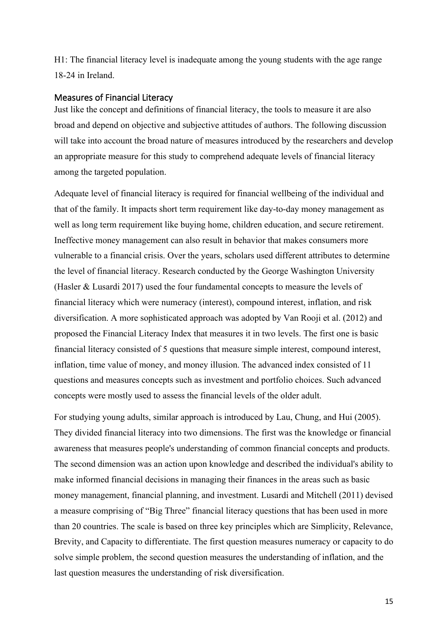H1: The financial literacy level is inadequate among the young students with the age range 18-24 in Ireland.

## <span id="page-15-0"></span>Measures of Financial Literacy

Just like the concept and definitions of financial literacy, the tools to measure it are also broad and depend on objective and subjective attitudes of authors. The following discussion will take into account the broad nature of measures introduced by the researchers and develop an appropriate measure for this study to comprehend adequate levels of financial literacy among the targeted population.

Adequate level of financial literacy is required for financial wellbeing of the individual and that of the family. It impacts short term requirement like day-to-day money management as well as long term requirement like buying home, children education, and secure retirement. Ineffective money management can also result in behavior that makes consumers more vulnerable to a financial crisis. Over the years, scholars used different attributes to determine the level of financial literacy. Research conducted by the George Washington University (Hasler & Lusardi 2017) used the four fundamental concepts to measure the levels of financial literacy which were numeracy (interest), compound interest, inflation, and risk diversification. A more sophisticated approach was adopted by Van Rooji et al. (2012) and proposed the Financial Literacy Index that measures it in two levels. The first one is basic financial literacy consisted of 5 questions that measure simple interest, compound interest, inflation, time value of money, and money illusion. The advanced index consisted of 11 questions and measures concepts such as investment and portfolio choices. Such advanced concepts were mostly used to assess the financial levels of the older adult.

For studying young adults, similar approach is introduced by Lau, Chung, and Hui (2005). They divided financial literacy into two dimensions. The first was the knowledge or financial awareness that measures people's understanding of common financial concepts and products. The second dimension was an action upon knowledge and described the individual's ability to make informed financial decisions in managing their finances in the areas such as basic money management, financial planning, and investment. Lusardi and Mitchell (2011) devised a measure comprising of "Big Three" financial literacy questions that has been used in more than 20 countries. The scale is based on three key principles which are Simplicity, Relevance, Brevity, and Capacity to differentiate. The first question measures numeracy or capacity to do solve simple problem, the second question measures the understanding of inflation, and the last question measures the understanding of risk diversification.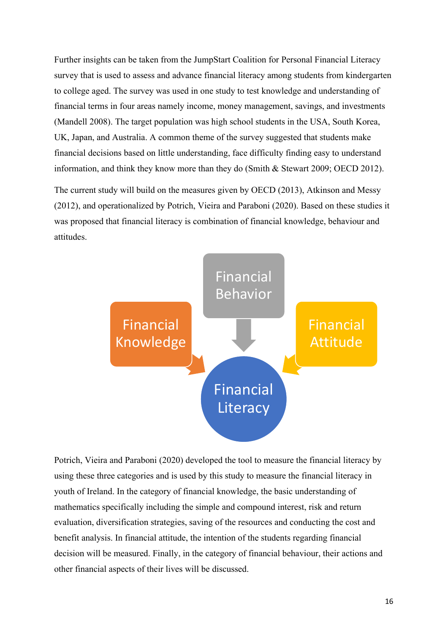Further insights can be taken from the JumpStart Coalition for Personal Financial Literacy survey that is used to assess and advance financial literacy among students from kindergarten to college aged. The survey was used in one study to test knowledge and understanding of financial terms in four areas namely income, money management, savings, and investments (Mandell 2008). The target population was high school students in the USA, South Korea, UK, Japan, and Australia. A common theme of the survey suggested that students make financial decisions based on little understanding, face difficulty finding easy to understand information, and think they know more than they do (Smith & Stewart 2009; OECD 2012).

The current study will build on the measures given by OECD (2013), Atkinson and Messy (2012), and operationalized by Potrich, Vieira and Paraboni (2020). Based on these studies it was proposed that financial literacy is combination of financial knowledge, behaviour and attitudes.



Potrich, Vieira and Paraboni (2020) developed the tool to measure the financial literacy by using these three categories and is used by this study to measure the financial literacy in youth of Ireland. In the category of financial knowledge, the basic understanding of mathematics specifically including the simple and compound interest, risk and return evaluation, diversification strategies, saving of the resources and conducting the cost and benefit analysis. In financial attitude, the intention of the students regarding financial decision will be measured. Finally, in the category of financial behaviour, their actions and other financial aspects of their lives will be discussed.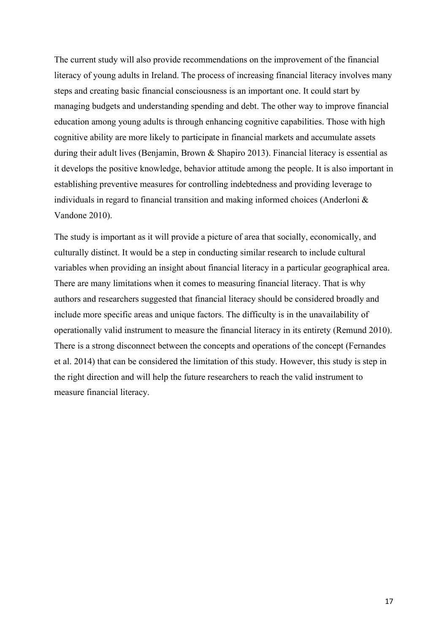The current study will also provide recommendations on the improvement of the financial literacy of young adults in Ireland. The process of increasing financial literacy involves many steps and creating basic financial consciousness is an important one. It could start by managing budgets and understanding spending and debt. The other way to improve financial education among young adults is through enhancing cognitive capabilities. Those with high cognitive ability are more likely to participate in financial markets and accumulate assets during their adult lives (Benjamin, Brown & Shapiro 2013). Financial literacy is essential as it develops the positive knowledge, behavior attitude among the people. It is also important in establishing preventive measures for controlling indebtedness and providing leverage to individuals in regard to financial transition and making informed choices (Anderloni & Vandone 2010).

The study is important as it will provide a picture of area that socially, economically, and culturally distinct. It would be a step in conducting similar research to include cultural variables when providing an insight about financial literacy in a particular geographical area. There are many limitations when it comes to measuring financial literacy. That is why authors and researchers suggested that financial literacy should be considered broadly and include more specific areas and unique factors. The difficulty is in the unavailability of operationally valid instrument to measure the financial literacy in its entirety (Remund 2010). There is a strong disconnect between the concepts and operations of the concept (Fernandes et al. 2014) that can be considered the limitation of this study. However, this study is step in the right direction and will help the future researchers to reach the valid instrument to measure financial literacy.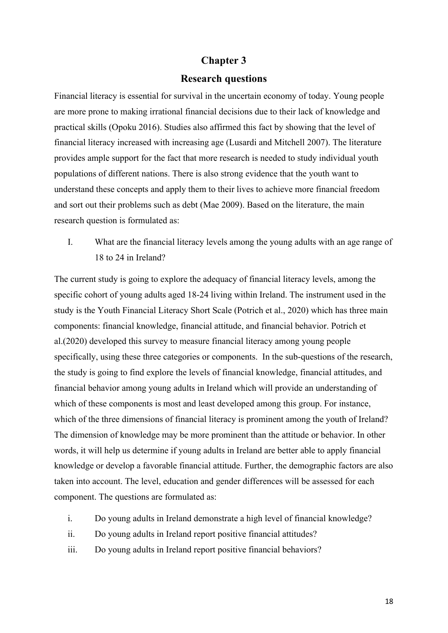# **Chapter 3**

# **Research questions**

<span id="page-18-1"></span><span id="page-18-0"></span>Financial literacy is essential for survival in the uncertain economy of today. Young people are more prone to making irrational financial decisions due to their lack of knowledge and practical skills (Opoku 2016). Studies also affirmed this fact by showing that the level of financial literacy increased with increasing age (Lusardi and Mitchell 2007). The literature provides ample support for the fact that more research is needed to study individual youth populations of different nations. There is also strong evidence that the youth want to understand these concepts and apply them to their lives to achieve more financial freedom and sort out their problems such as debt (Mae 2009). Based on the literature, the main research question is formulated as:

I. What are the financial literacy levels among the young adults with an age range of 18 to 24 in Ireland?

The current study is going to explore the adequacy of financial literacy levels, among the specific cohort of young adults aged 18-24 living within Ireland. The instrument used in the study is the Youth Financial Literacy Short Scale (Potrich et al., 2020) which has three main components: financial knowledge, financial attitude, and financial behavior. Potrich et al.(2020) developed this survey to measure financial literacy among young people specifically, using these three categories or components. In the sub-questions of the research, the study is going to find explore the levels of financial knowledge, financial attitudes, and financial behavior among young adults in Ireland which will provide an understanding of which of these components is most and least developed among this group. For instance, which of the three dimensions of financial literacy is prominent among the youth of Ireland? The dimension of knowledge may be more prominent than the attitude or behavior. In other words, it will help us determine if young adults in Ireland are better able to apply financial knowledge or develop a favorable financial attitude. Further, the demographic factors are also taken into account. The level, education and gender differences will be assessed for each component. The questions are formulated as:

- i. Do young adults in Ireland demonstrate a high level of financial knowledge?
- ii. Do young adults in Ireland report positive financial attitudes?
- iii. Do young adults in Ireland report positive financial behaviors?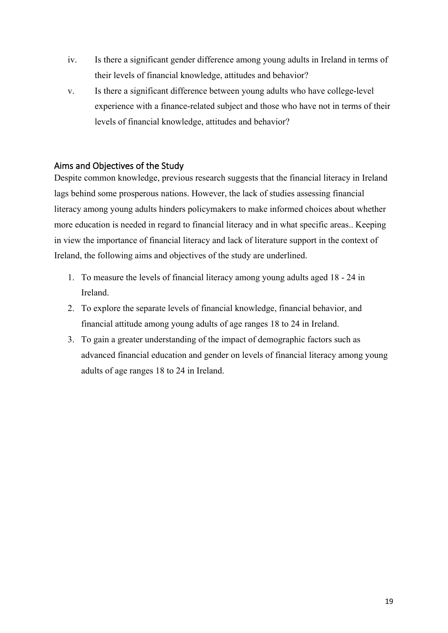- iv. Is there a significant gender difference among young adults in Ireland in terms of their levels of financial knowledge, attitudes and behavior?
- v. Is there a significant difference between young adults who have college-level experience with a finance-related subject and those who have not in terms of their levels of financial knowledge, attitudes and behavior?

# <span id="page-19-0"></span>Aims and Objectives of the Study

Despite common knowledge, previous research suggests that the financial literacy in Ireland lags behind some prosperous nations. However, the lack of studies assessing financial literacy among young adults hinders policymakers to make informed choices about whether more education is needed in regard to financial literacy and in what specific areas.. Keeping in view the importance of financial literacy and lack of literature support in the context of Ireland, the following aims and objectives of the study are underlined.

- 1. To measure the levels of financial literacy among young adults aged 18 24 in Ireland.
- 2. To explore the separate levels of financial knowledge, financial behavior, and financial attitude among young adults of age ranges 18 to 24 in Ireland.
- 3. To gain a greater understanding of the impact of demographic factors such as advanced financial education and gender on levels of financial literacy among young adults of age ranges 18 to 24 in Ireland.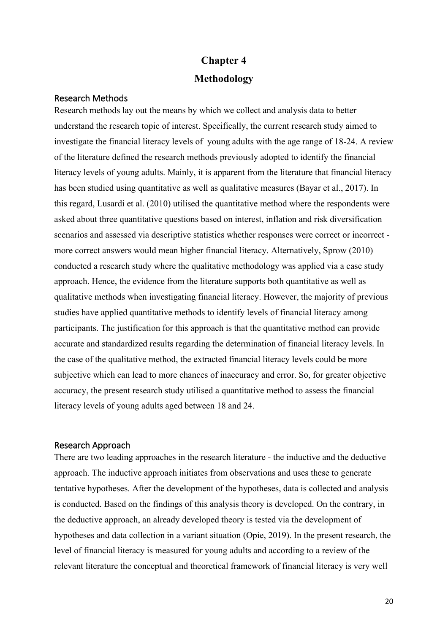# **Chapter 4 Methodology**

# <span id="page-20-2"></span><span id="page-20-1"></span><span id="page-20-0"></span>Research Methods

Research methods lay out the means by which we collect and analysis data to better understand the research topic of interest. Specifically, the current research study aimed to investigate the financial literacy levels of young adults with the age range of 18-24. A review of the literature defined the research methods previously adopted to identify the financial literacy levels of young adults. Mainly, it is apparent from the literature that financial literacy has been studied using quantitative as well as qualitative measures (Bayar et al., 2017). In this regard, Lusardi et al. (2010) utilised the quantitative method where the respondents were asked about three quantitative questions based on interest, inflation and risk diversification scenarios and assessed via descriptive statistics whether responses were correct or incorrect more correct answers would mean higher financial literacy. Alternatively, Sprow (2010) conducted a research study where the qualitative methodology was applied via a case study approach. Hence, the evidence from the literature supports both quantitative as well as qualitative methods when investigating financial literacy. However, the majority of previous studies have applied quantitative methods to identify levels of financial literacy among participants. The justification for this approach is that the quantitative method can provide accurate and standardized results regarding the determination of financial literacy levels. In the case of the qualitative method, the extracted financial literacy levels could be more subjective which can lead to more chances of inaccuracy and error. So, for greater objective accuracy, the present research study utilised a quantitative method to assess the financial literacy levels of young adults aged between 18 and 24.

#### <span id="page-20-3"></span>Research Approach

There are two leading approaches in the research literature - the inductive and the deductive approach. The inductive approach initiates from observations and uses these to generate tentative hypotheses. After the development of the hypotheses, data is collected and analysis is conducted. Based on the findings of this analysis theory is developed. On the contrary, in the deductive approach, an already developed theory is tested via the development of hypotheses and data collection in a variant situation (Opie, 2019). In the present research, the level of financial literacy is measured for young adults and according to a review of the relevant literature the conceptual and theoretical framework of financial literacy is very well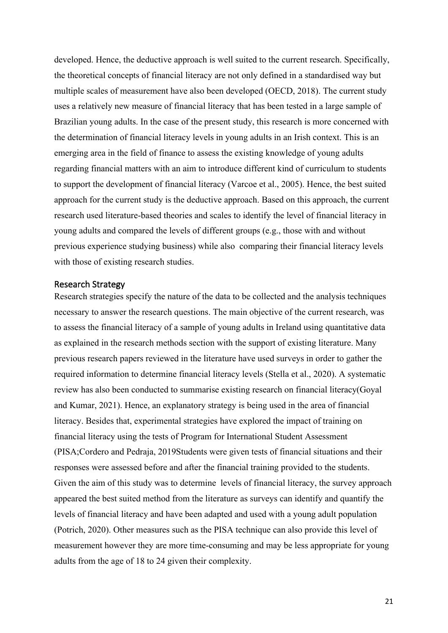developed. Hence, the deductive approach is well suited to the current research. Specifically, the theoretical concepts of financial literacy are not only defined in a standardised way but multiple scales of measurement have also been developed (OECD, 2018). The current study uses a relatively new measure of financial literacy that has been tested in a large sample of Brazilian young adults. In the case of the present study, this research is more concerned with the determination of financial literacy levels in young adults in an Irish context. This is an emerging area in the field of finance to assess the existing knowledge of young adults regarding financial matters with an aim to introduce different kind of curriculum to students to support the development of financial literacy (Varcoe et al., 2005). Hence, the best suited approach for the current study is the deductive approach. Based on this approach, the current research used literature-based theories and scales to identify the level of financial literacy in young adults and compared the levels of different groups (e.g., those with and without previous experience studying business) while also comparing their financial literacy levels with those of existing research studies.

#### <span id="page-21-0"></span>Research Strategy

Research strategies specify the nature of the data to be collected and the analysis techniques necessary to answer the research questions. The main objective of the current research, was to assess the financial literacy of a sample of young adults in Ireland using quantitative data as explained in the research methods section with the support of existing literature. Many previous research papers reviewed in the literature have used surveys in order to gather the required information to determine financial literacy levels (Stella et al., 2020). A systematic review has also been conducted to summarise existing research on financial literacy(Goyal and Kumar, 2021). Hence, an explanatory strategy is being used in the area of financial literacy. Besides that, experimental strategies have explored the impact of training on financial literacy using the tests of Program for International Student Assessment (PISA;Cordero and Pedraja, 2019Students were given tests of financial situations and their responses were assessed before and after the financial training provided to the students. Given the aim of this study was to determine levels of financial literacy, the survey approach appeared the best suited method from the literature as surveys can identify and quantify the levels of financial literacy and have been adapted and used with a young adult population (Potrich, 2020). Other measures such as the PISA technique can also provide this level of measurement however they are more time-consuming and may be less appropriate for young adults from the age of 18 to 24 given their complexity.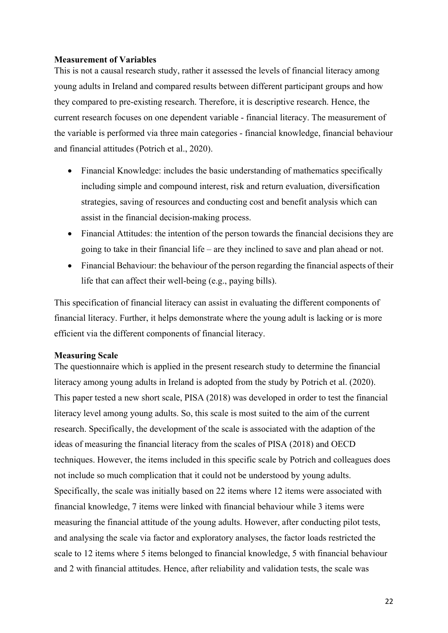#### <span id="page-22-0"></span>**Measurement of Variables**

This is not a causal research study, rather it assessed the levels of financial literacy among young adults in Ireland and compared results between different participant groups and how they compared to pre-existing research. Therefore, it is descriptive research. Hence, the current research focuses on one dependent variable - financial literacy. The measurement of the variable is performed via three main categories - financial knowledge, financial behaviour and financial attitudes (Potrich et al., 2020).

- Financial Knowledge: includes the basic understanding of mathematics specifically including simple and compound interest, risk and return evaluation, diversification strategies, saving of resources and conducting cost and benefit analysis which can assist in the financial decision-making process.
- Financial Attitudes: the intention of the person towards the financial decisions they are going to take in their financial life – are they inclined to save and plan ahead or not.
- Financial Behaviour: the behaviour of the person regarding the financial aspects of their life that can affect their well-being (e.g., paying bills).

This specification of financial literacy can assist in evaluating the different components of financial literacy. Further, it helps demonstrate where the young adult is lacking or is more efficient via the different components of financial literacy.

#### <span id="page-22-1"></span>**Measuring Scale**

The questionnaire which is applied in the present research study to determine the financial literacy among young adults in Ireland is adopted from the study by Potrich et al. (2020). This paper tested a new short scale, PISA (2018) was developed in order to test the financial literacy level among young adults. So, this scale is most suited to the aim of the current research. Specifically, the development of the scale is associated with the adaption of the ideas of measuring the financial literacy from the scales of PISA (2018) and OECD techniques. However, the items included in this specific scale by Potrich and colleagues does not include so much complication that it could not be understood by young adults. Specifically, the scale was initially based on 22 items where 12 items were associated with financial knowledge, 7 items were linked with financial behaviour while 3 items were measuring the financial attitude of the young adults. However, after conducting pilot tests, and analysing the scale via factor and exploratory analyses, the factor loads restricted the scale to 12 items where 5 items belonged to financial knowledge, 5 with financial behaviour and 2 with financial attitudes. Hence, after reliability and validation tests, the scale was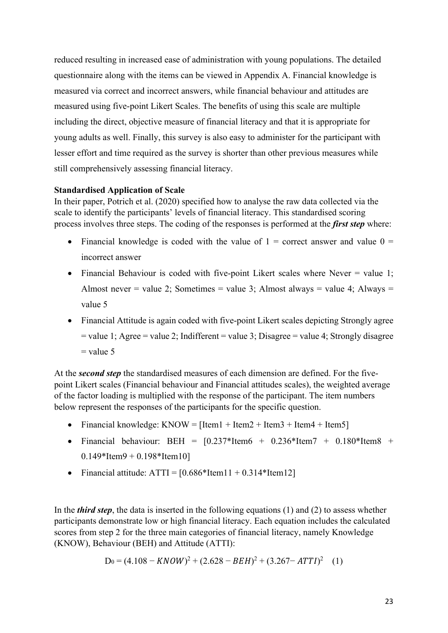reduced resulting in increased ease of administration with young populations. The detailed questionnaire along with the items can be viewed in Appendix A. Financial knowledge is measured via correct and incorrect answers, while financial behaviour and attitudes are measured using five-point Likert Scales. The benefits of using this scale are multiple including the direct, objective measure of financial literacy and that it is appropriate for young adults as well. Finally, this survey is also easy to administer for the participant with lesser effort and time required as the survey is shorter than other previous measures while still comprehensively assessing financial literacy.

# <span id="page-23-0"></span>**Standardised Application of Scale**

In their paper, Potrich et al. (2020) specified how to analyse the raw data collected via the scale to identify the participants' levels of financial literacy. This standardised scoring process involves three steps. The coding of the responses is performed at the *first step* where:

- Financial knowledge is coded with the value of  $1 =$  correct answer and value  $0 =$ incorrect answer
- Financial Behaviour is coded with five-point Likert scales where Never = value 1; Almost never = value 2; Sometimes = value 3; Almost always = value 4; Always = value 5
- Financial Attitude is again coded with five-point Likert scales depicting Strongly agree  $=$  value 1; Agree  $=$  value 2; Indifferent  $=$  value 3; Disagree  $=$  value 4; Strongly disagree  $=$  value 5

At the *second step* the standardised measures of each dimension are defined. For the fivepoint Likert scales (Financial behaviour and Financial attitudes scales), the weighted average of the factor loading is multiplied with the response of the participant. The item numbers below represent the responses of the participants for the specific question.

- Financial knowledge: KNOW =  $[Item1 + Item2 + Item3 + Item4 + Item5]$
- Financial behaviour: BEH =  $[0.237*Item6 + 0.236*Item7 + 0.180*Item8 + 0.180*Item8 + 0.180*Item8 + 0.180*Item8 + 0.180*Item8 + 0.180*Item8 + 0.180*Item8 + 0.180*Item8 + 0.180*Item8 + 0.180*Item8 + 0.180*Item8 + 0.180*Item8 + 0.180*Item8 + 0.180*Item8 + 0.180*Item8 + 0.180*Item8 + 0.180*Item8 +$  $0.149*$ Item $9 + 0.198*$ Item $10$ ]
- Financial attitude:  $ATTI = [0.686*Item11 + 0.314*Item12]$

In the *third step*, the data is inserted in the following equations (1) and (2) to assess whether participants demonstrate low or high financial literacy. Each equation includes the calculated scores from step 2 for the three main categories of financial literacy, namely Knowledge (KNOW), Behaviour (BEH) and Attitude (ATTI):

$$
D_0 = (4.108 - KNOW)^2 + (2.628 - BEH)^2 + (3.267 - ATTI)^2 \quad (1)
$$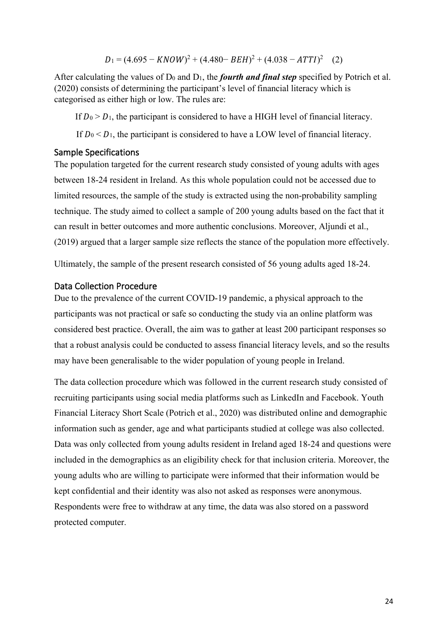$$
D_1 = (4.695 - KNOW)^2 + (4.480 - BEH)^2 + (4.038 - ATTI)^2 \quad (2)
$$

After calculating the values of  $D_0$  and  $D_1$ , the *fourth and final step* specified by Potrich et al. (2020) consists of determining the participant's level of financial literacy which is categorised as either high or low. The rules are:

If  $D_0 > D_1$ , the participant is considered to have a HIGH level of financial literacy.

If  $D_0 < D_1$ , the participant is considered to have a LOW level of financial literacy.

## <span id="page-24-0"></span>Sample Specifications

The population targeted for the current research study consisted of young adults with ages between 18-24 resident in Ireland. As this whole population could not be accessed due to limited resources, the sample of the study is extracted using the non-probability sampling technique. The study aimed to collect a sample of 200 young adults based on the fact that it can result in better outcomes and more authentic conclusions. Moreover, Aljundi et al., (2019) argued that a larger sample size reflects the stance of the population more effectively.

Ultimately, the sample of the present research consisted of 56 young adults aged 18-24.

# <span id="page-24-1"></span>Data Collection Procedure

Due to the prevalence of the current COVID-19 pandemic, a physical approach to the participants was not practical or safe so conducting the study via an online platform was considered best practice. Overall, the aim was to gather at least 200 participant responses so that a robust analysis could be conducted to assess financial literacy levels, and so the results may have been generalisable to the wider population of young people in Ireland.

The data collection procedure which was followed in the current research study consisted of recruiting participants using social media platforms such as LinkedIn and Facebook. Youth Financial Literacy Short Scale (Potrich et al., 2020) was distributed online and demographic information such as gender, age and what participants studied at college was also collected. Data was only collected from young adults resident in Ireland aged 18-24 and questions were included in the demographics as an eligibility check for that inclusion criteria. Moreover, the young adults who are willing to participate were informed that their information would be kept confidential and their identity was also not asked as responses were anonymous. Respondents were free to withdraw at any time, the data was also stored on a password protected computer.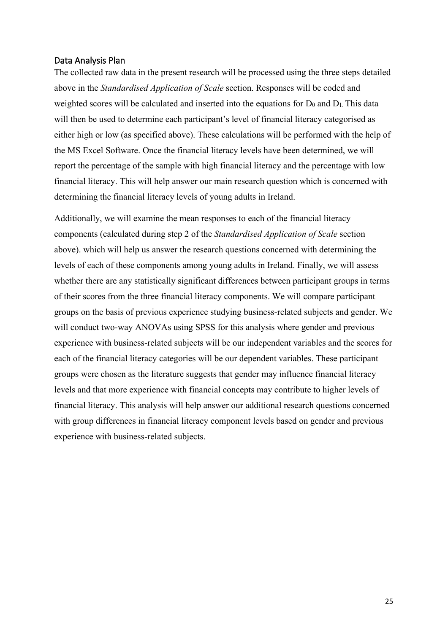#### <span id="page-25-0"></span>Data Analysis Plan

The collected raw data in the present research will be processed using the three steps detailed above in the *Standardised Application of Scale* section. Responses will be coded and weighted scores will be calculated and inserted into the equations for  $D_0$  and  $D_1$ . This data will then be used to determine each participant's level of financial literacy categorised as either high or low (as specified above). These calculations will be performed with the help of the MS Excel Software. Once the financial literacy levels have been determined, we will report the percentage of the sample with high financial literacy and the percentage with low financial literacy. This will help answer our main research question which is concerned with determining the financial literacy levels of young adults in Ireland.

Additionally, we will examine the mean responses to each of the financial literacy components (calculated during step 2 of the *Standardised Application of Scale* section above). which will help us answer the research questions concerned with determining the levels of each of these components among young adults in Ireland. Finally, we will assess whether there are any statistically significant differences between participant groups in terms of their scores from the three financial literacy components. We will compare participant groups on the basis of previous experience studying business-related subjects and gender. We will conduct two-way ANOVAs using SPSS for this analysis where gender and previous experience with business-related subjects will be our independent variables and the scores for each of the financial literacy categories will be our dependent variables. These participant groups were chosen as the literature suggests that gender may influence financial literacy levels and that more experience with financial concepts may contribute to higher levels of financial literacy. This analysis will help answer our additional research questions concerned with group differences in financial literacy component levels based on gender and previous experience with business-related subjects.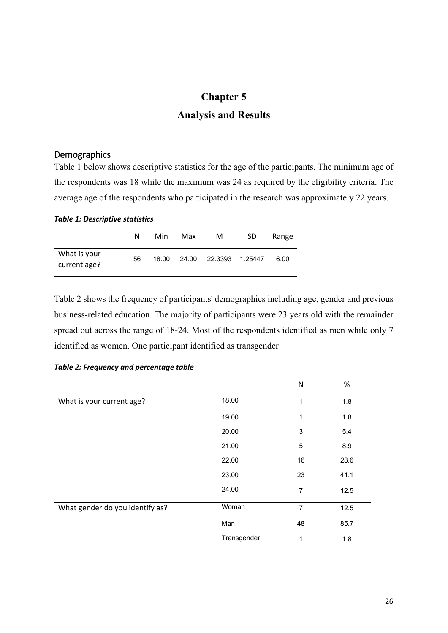# **Chapter 5**

# **Analysis and Results**

## <span id="page-26-2"></span><span id="page-26-1"></span><span id="page-26-0"></span>Demographics

Table 1 below shows descriptive statistics for the age of the participants. The minimum age of the respondents was 18 while the maximum was 24 as required by the eligibility criteria. The average age of the respondents who participated in the research was approximately 22 years.

*Table 1: Descriptive statistics*

|                              | N  | Min   | Max   | м | SD. | Range |
|------------------------------|----|-------|-------|---|-----|-------|
| What is your<br>current age? | 56 | 18.00 | 24.00 |   |     | 6.00  |

Table 2 shows the frequency of participants' demographics including age, gender and previous business-related education. The majority of participants were 23 years old with the remainder spread out across the range of 18-24. Most of the respondents identified as men while only 7 identified as women. One participant identified as transgender

|                                 |             | N              | $\%$ |
|---------------------------------|-------------|----------------|------|
| What is your current age?       | 18.00       | 1              | 1.8  |
|                                 | 19.00       | 1              | 1.8  |
|                                 | 20.00       | 3              | 5.4  |
|                                 | 21.00       | 5              | 8.9  |
|                                 | 22.00       | 16             | 28.6 |
|                                 | 23.00       | 23             | 41.1 |
|                                 | 24.00       | 7              | 12.5 |
| What gender do you identify as? | Woman       | $\overline{7}$ | 12.5 |
|                                 | Man         | 48             | 85.7 |
|                                 | Transgender | 1              | 1.8  |

#### *Table 2: Frequency and percentage table*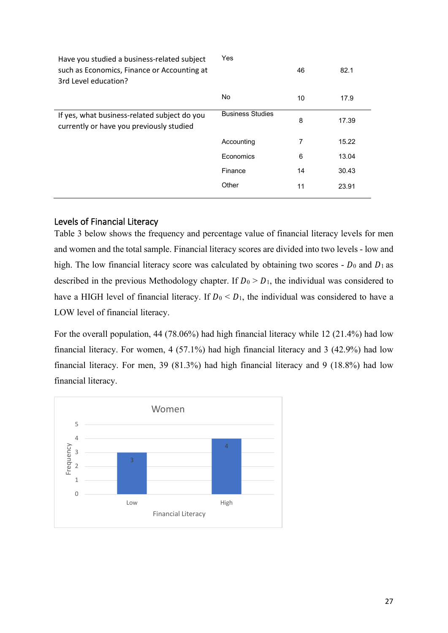| Yes                     | 46 | 82.1  |
|-------------------------|----|-------|
| No                      | 10 | 17.9  |
| <b>Business Studies</b> | 8  | 17.39 |
| Accounting              | 7  | 15.22 |
| Economics               | 6  | 13.04 |
| Finance                 | 14 | 30.43 |
| Other                   | 11 | 23.91 |
|                         |    |       |

# <span id="page-27-0"></span>Levels of Financial Literacy

Table 3 below shows the frequency and percentage value of financial literacy levels for men and women and the total sample. Financial literacy scores are divided into two levels - low and high. The low financial literacy score was calculated by obtaining two scores -  $D_0$  and  $D_1$  as described in the previous Methodology chapter. If  $D_0 > D_1$ , the individual was considered to have a HIGH level of financial literacy. If  $D_0 < D_1$ , the individual was considered to have a LOW level of financial literacy.

For the overall population, 44 (78.06%) had high financial literacy while 12 (21.4%) had low financial literacy. For women, 4 (57.1%) had high financial literacy and 3 (42.9%) had low financial literacy. For men, 39 (81.3%) had high financial literacy and 9 (18.8%) had low financial literacy.

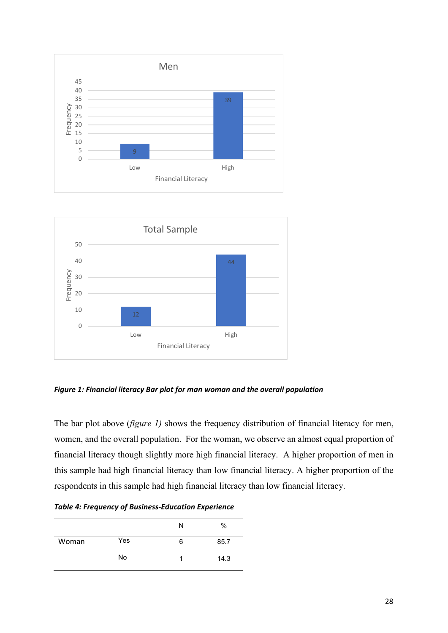



*Figure 1: Financial literacy Bar plot for man woman and the overall population* 

The bar plot above (*figure 1)* shows the frequency distribution of financial literacy for men, women, and the overall population. For the woman, we observe an almost equal proportion of financial literacy though slightly more high financial literacy. A higher proportion of men in this sample had high financial literacy than low financial literacy. A higher proportion of the respondents in this sample had high financial literacy than low financial literacy.

*Table 4: Frequency of Business-Education Experience*

|       |     | N | %    |
|-------|-----|---|------|
| Woman | Yes | 6 | 85.7 |
|       | No  |   | 14.3 |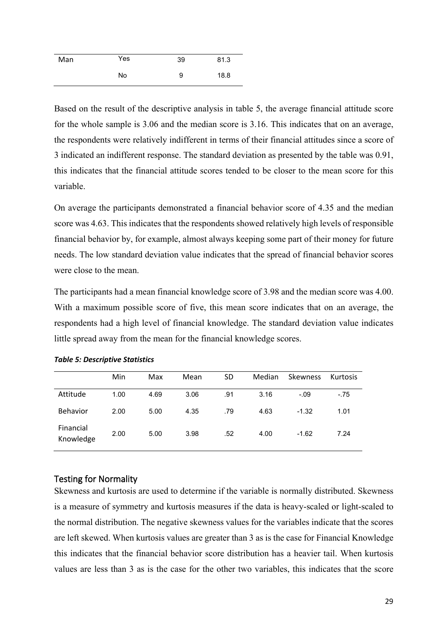| Man | Yes | 39 | 81.3 |
|-----|-----|----|------|
|     | No  | 9  | 18.8 |

Based on the result of the descriptive analysis in table 5, the average financial attitude score for the whole sample is 3.06 and the median score is 3.16. This indicates that on an average, the respondents were relatively indifferent in terms of their financial attitudes since a score of 3 indicated an indifferent response. The standard deviation as presented by the table was 0.91, this indicates that the financial attitude scores tended to be closer to the mean score for this variable.

On average the participants demonstrated a financial behavior score of 4.35 and the median score was 4.63. This indicates that the respondents showed relatively high levels of responsible financial behavior by, for example, almost always keeping some part of their money for future needs. The low standard deviation value indicates that the spread of financial behavior scores were close to the mean.

The participants had a mean financial knowledge score of 3.98 and the median score was 4.00. With a maximum possible score of five, this mean score indicates that on an average, the respondents had a high level of financial knowledge. The standard deviation value indicates little spread away from the mean for the financial knowledge scores.

|                        | Min  | Max  | Mean | <b>SD</b> | Median | <b>Skewness</b> | Kurtosis |
|------------------------|------|------|------|-----------|--------|-----------------|----------|
| Attitude               | 1.00 | 4.69 | 3.06 | .91       | 3.16   | $-.09$          | $-.75$   |
| <b>Behavior</b>        | 2.00 | 5.00 | 4.35 | .79       | 4.63   | $-1.32$         | 1.01     |
| Financial<br>Knowledge | 2.00 | 5.00 | 3.98 | .52       | 4.00   | $-1.62$         | 7.24     |

|  | <b>Table 5: Descriptive Statistics</b> |  |
|--|----------------------------------------|--|
|--|----------------------------------------|--|

#### <span id="page-29-0"></span>Testing for Normality

Skewness and kurtosis are used to determine if the variable is normally distributed. Skewness is a measure of symmetry and kurtosis measures if the data is heavy-scaled or light-scaled to the normal distribution. The negative skewness values for the variables indicate that the scores are left skewed. When kurtosis values are greater than 3 as is the case for Financial Knowledge this indicates that the financial behavior score distribution has a heavier tail. When kurtosis values are less than 3 as is the case for the other two variables, this indicates that the score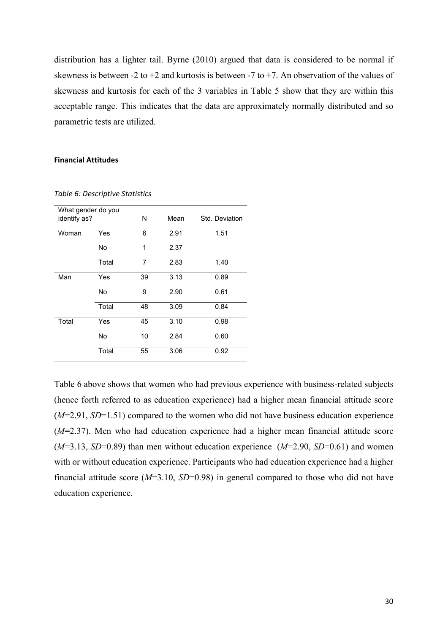distribution has a lighter tail. Byrne (2010) argued that data is considered to be normal if skewness is between -2 to +2 and kurtosis is between -7 to +7. An observation of the values of skewness and kurtosis for each of the 3 variables in Table 5 show that they are within this acceptable range. This indicates that the data are approximately normally distributed and so parametric tests are utilized.

#### **Financial Attitudes**

|              | What gender do you |    |      |                |  |
|--------------|--------------------|----|------|----------------|--|
| identify as? |                    | N  | Mean | Std. Deviation |  |
|              |                    |    |      |                |  |
| Woman        | Yes                | 6  | 2.91 | 1.51           |  |
|              | No                 | 1  | 2.37 |                |  |
|              |                    |    |      |                |  |
|              | Total              | 7  | 2.83 | 1.40           |  |
| Man          | Yes                | 39 | 3.13 | 0.89           |  |
|              | No                 | 9  | 2.90 | 0.61           |  |
|              | Total              | 48 | 3.09 | 0.84           |  |
| Total        | Yes                | 45 | 3.10 | 0.98           |  |
|              | No                 | 10 | 2.84 | 0.60           |  |
|              | Total              | 55 | 3.06 | 0.92           |  |

*Table 6: Descriptive Statistics*

Table 6 above shows that women who had previous experience with business-related subjects (hence forth referred to as education experience) had a higher mean financial attitude score (*M*=2.91, *SD*=1.51) compared to the women who did not have business education experience (*M*=2.37). Men who had education experience had a higher mean financial attitude score (*M*=3.13, *SD*=0.89) than men without education experience (*M*=2.90, *SD*=0.61) and women with or without education experience. Participants who had education experience had a higher financial attitude score (*M*=3.10, *SD*=0.98) in general compared to those who did not have education experience.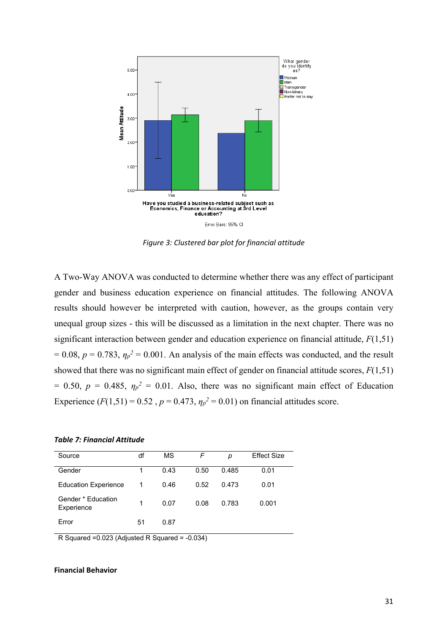

*Figure 3: Clustered bar plot for financial attitude*

A Two-Way ANOVA was conducted to determine whether there was any effect of participant gender and business education experience on financial attitudes. The following ANOVA results should however be interpreted with caution, however, as the groups contain very unequal group sizes - this will be discussed as a limitation in the next chapter. There was no significant interaction between gender and education experience on financial attitude, *F*(1,51)  $= 0.08$ ,  $p = 0.783$ ,  $\eta_p^2 = 0.001$ . An analysis of the main effects was conducted, and the result showed that there was no significant main effect of gender on financial attitude scores, *F*(1,51)  $= 0.50, p = 0.485, \eta_p^2 = 0.01$ . Also, there was no significant main effect of Education Experience  $(F(1,51) = 0.52, p = 0.473, \eta_p^2 = 0.01)$  on financial attitudes score.

#### *Table 7: Financial Attitude*

| Source                           | df | MS   | F    | р     | <b>Effect Size</b> |
|----------------------------------|----|------|------|-------|--------------------|
| Gender                           | 1  | 0.43 | 0.50 | 0.485 | 0.01               |
| <b>Education Experience</b>      | 1  | 0.46 | 0.52 | 0.473 | 0.01               |
| Gender * Education<br>Experience | 1  | 0.07 | 0.08 | 0.783 | 0.001              |
| Error                            | 51 | 0.87 |      |       |                    |

R Squared =0.023 (Adjusted R Squared = -0.034)

#### **Financial Behavior**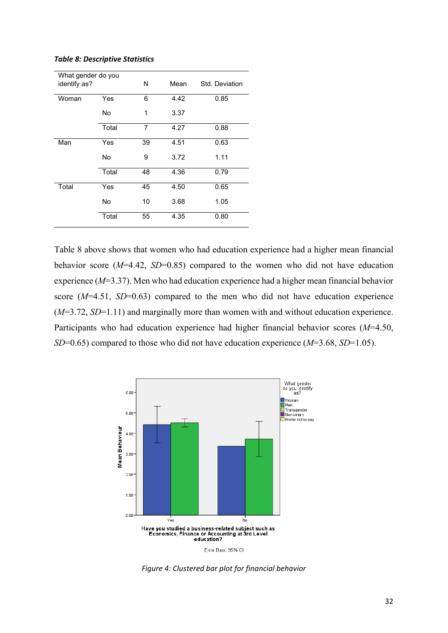| What gender do you |       | N  | Mean | Std. Deviation |  |  |
|--------------------|-------|----|------|----------------|--|--|
| identify as?       |       |    |      |                |  |  |
| Woman              | Yes   | 6  | 4.42 | 0.85           |  |  |
|                    | No    | 1  | 3.37 |                |  |  |
|                    | Total | 7  | 4.27 | 0.88           |  |  |
| Man                | Yes   | 39 | 4.51 | 0.63           |  |  |
|                    | No    | 9  | 3.72 | 1.11           |  |  |
|                    | Total | 48 | 4.36 | 0.79           |  |  |
| Total              | Yes   | 45 | 4.50 | 0.65           |  |  |
|                    | No    | 10 | 3.68 | 1.05           |  |  |
|                    | Total | 55 | 4.35 | 0.80           |  |  |

#### *Table 8: Descriptive Statistics*

Table 8 above shows that women who had education experience had a higher mean financial behavior score (*M*=4.42, *SD*=0.85) compared to the women who did not have education experience (*M*=3.37). Men who had education experience had a higher mean financial behavior score (*M*=4.51, *SD*=0.63) compared to the men who did not have education experience (*M*=3.72, *SD*=1.11) and marginally more than women with and without education experience. Participants who had education experience had higher financial behavior scores (*M*=4.50, *SD*=0.65) compared to those who did not have education experience (*M*=3.68, *SD*=1.05).



*Figure 4: Clustered bar plot for financial behavior*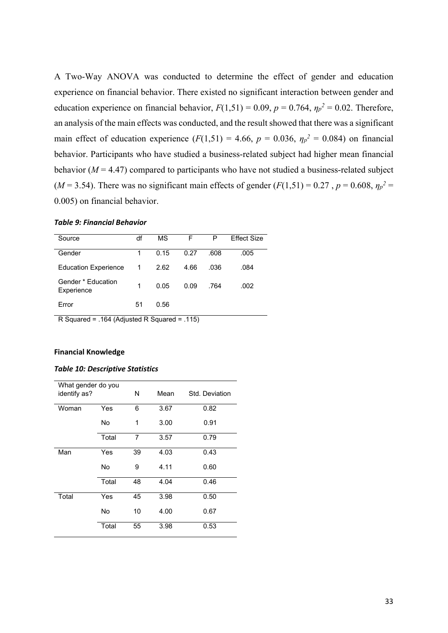A Two-Way ANOVA was conducted to determine the effect of gender and education experience on financial behavior. There existed no significant interaction between gender and education experience on financial behavior,  $F(1,51) = 0.09$ ,  $p = 0.764$ ,  $\eta_p^2 = 0.02$ . Therefore, an analysis of the main effects was conducted, and the result showed that there was a significant main effect of education experience  $(F(1,51) = 4.66, p = 0.036, \eta_p^2 = 0.084)$  on financial behavior. Participants who have studied a business-related subject had higher mean financial behavior ( $M = 4.47$ ) compared to participants who have not studied a business-related subject  $(M = 3.54)$ . There was no significant main effects of gender  $(F(1,51) = 0.27$ ,  $p = 0.608$ ,  $\eta_p^2 =$ 0.005) on financial behavior.

#### *Table 9: Financial Behavior*

| Source                           | df | МS   | F    | P    | Fffect Size |
|----------------------------------|----|------|------|------|-------------|
| Gender                           | 1  | 0.15 | 0.27 | .608 | .005        |
| <b>Education Experience</b>      | 1  | 2.62 | 4.66 | .036 | .084        |
| Gender * Education<br>Experience | 1  | 0.05 | 0.09 | .764 | .002        |
| Error                            | 51 | 0.56 |      |      |             |

R Squared = .164 (Adjusted R Squared = .115)

#### **Financial Knowledge**

#### *Table 10: Descriptive Statistics*

| What gender do you<br>identify as? |       | N  | Mean | Std. Deviation |
|------------------------------------|-------|----|------|----------------|
| Woman                              | Yes   | 6  | 3.67 | 0.82           |
|                                    | No    | 1  | 3.00 | 0.91           |
|                                    | Total | 7  | 3.57 | 0.79           |
| Man                                | Yes   | 39 | 4.03 | 0.43           |
|                                    | No    | 9  | 4.11 | 0.60           |
|                                    | Total | 48 | 4.04 | 0.46           |
| Total                              | Yes   | 45 | 3.98 | 0.50           |
|                                    | No    | 10 | 4.00 | 0.67           |
|                                    | Total | 55 | 3.98 | 0.53           |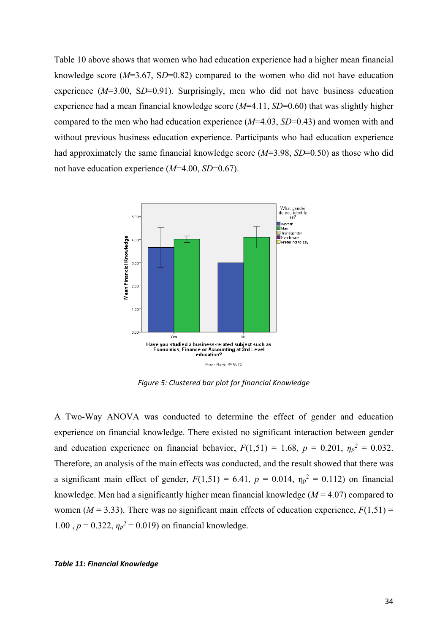Table 10 above shows that women who had education experience had a higher mean financial knowledge score (*M*=3.67, S*D*=0.82) compared to the women who did not have education experience ( $M=3.00$ , SD=0.91). Surprisingly, men who did not have business education experience had a mean financial knowledge score (*M*=4.11, *SD*=0.60) that was slightly higher compared to the men who had education experience (*M*=4.03, *SD*=0.43) and women with and without previous business education experience. Participants who had education experience had approximately the same financial knowledge score ( $M=3.98$ ,  $SD=0.50$ ) as those who did not have education experience (*M*=4.00, *SD*=0.67).



*Figure 5: Clustered bar plot for financial Knowledge*

A Two-Way ANOVA was conducted to determine the effect of gender and education experience on financial knowledge. There existed no significant interaction between gender and education experience on financial behavior,  $F(1,51) = 1.68$ ,  $p = 0.201$ ,  $\eta_p^2 = 0.032$ . Therefore, an analysis of the main effects was conducted, and the result showed that there was a significant main effect of gender,  $F(1,51) = 6.41$ ,  $p = 0.014$ ,  $\eta_p^2 = 0.112$ ) on financial knowledge. Men had a significantly higher mean financial knowledge (*M* = 4.07) compared to women ( $M = 3.33$ ). There was no significant main effects of education experience,  $F(1,51) =$ 1.00,  $p = 0.322$ ,  $\eta_p^2 = 0.019$ ) on financial knowledge.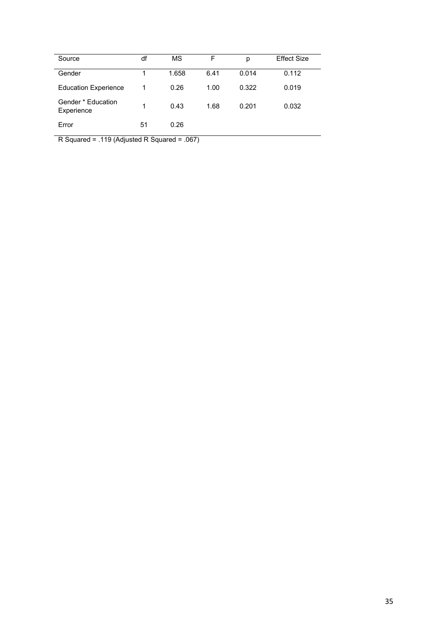| Source                           | df | MS    | F    | р     | <b>Effect Size</b> |
|----------------------------------|----|-------|------|-------|--------------------|
| Gender                           |    | 1.658 | 6.41 | 0.014 | 0.112              |
| <b>Education Experience</b>      | 1  | 0.26  | 1.00 | 0.322 | 0.019              |
| Gender * Education<br>Experience | 1  | 0.43  | 1.68 | 0.201 | 0.032              |
| Error                            | 51 | 0.26  |      |       |                    |

R Squared = .119 (Adjusted R Squared = .067)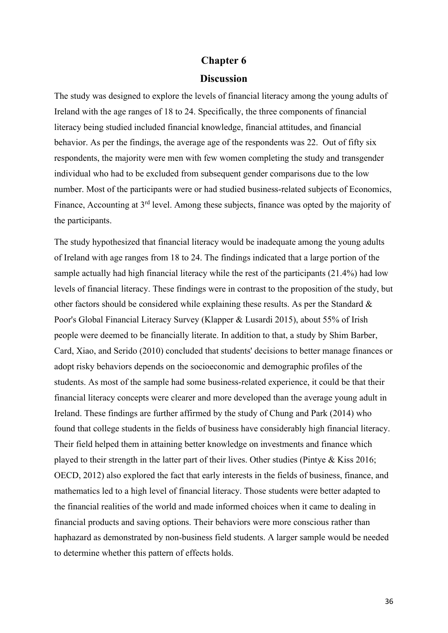#### **Chapter 6**

# **Discussion**

<span id="page-36-1"></span><span id="page-36-0"></span>The study was designed to explore the levels of financial literacy among the young adults of Ireland with the age ranges of 18 to 24. Specifically, the three components of financial literacy being studied included financial knowledge, financial attitudes, and financial behavior. As per the findings, the average age of the respondents was 22. Out of fifty six respondents, the majority were men with few women completing the study and transgender individual who had to be excluded from subsequent gender comparisons due to the low number. Most of the participants were or had studied business-related subjects of Economics, Finance, Accounting at 3<sup>rd</sup> level. Among these subjects, finance was opted by the majority of the participants.

The study hypothesized that financial literacy would be inadequate among the young adults of Ireland with age ranges from 18 to 24. The findings indicated that a large portion of the sample actually had high financial literacy while the rest of the participants (21.4%) had low levels of financial literacy. These findings were in contrast to the proposition of the study, but other factors should be considered while explaining these results. As per the Standard & Poor's Global Financial Literacy Survey (Klapper & Lusardi 2015), about 55% of Irish people were deemed to be financially literate. In addition to that, a study by Shim Barber, Card, Xiao, and Serido (2010) concluded that students' decisions to better manage finances or adopt risky behaviors depends on the socioeconomic and demographic profiles of the students. As most of the sample had some business-related experience, it could be that their financial literacy concepts were clearer and more developed than the average young adult in Ireland. These findings are further affirmed by the study of Chung and Park (2014) who found that college students in the fields of business have considerably high financial literacy. Their field helped them in attaining better knowledge on investments and finance which played to their strength in the latter part of their lives. Other studies (Pintye & Kiss 2016; OECD, 2012) also explored the fact that early interests in the fields of business, finance, and mathematics led to a high level of financial literacy. Those students were better adapted to the financial realities of the world and made informed choices when it came to dealing in financial products and saving options. Their behaviors were more conscious rather than haphazard as demonstrated by non-business field students. A larger sample would be needed to determine whether this pattern of effects holds.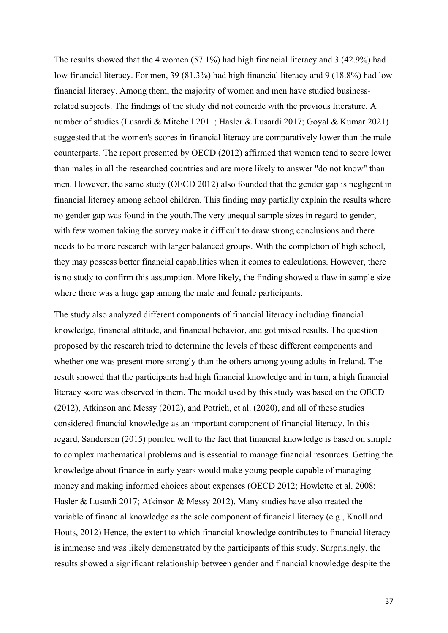The results showed that the 4 women (57.1%) had high financial literacy and 3 (42.9%) had low financial literacy. For men, 39 (81.3%) had high financial literacy and 9 (18.8%) had low financial literacy. Among them, the majority of women and men have studied businessrelated subjects. The findings of the study did not coincide with the previous literature. A number of studies (Lusardi & Mitchell 2011; Hasler & Lusardi 2017; Goyal & Kumar 2021) suggested that the women's scores in financial literacy are comparatively lower than the male counterparts. The report presented by OECD (2012) affirmed that women tend to score lower than males in all the researched countries and are more likely to answer "do not know" than men. However, the same study (OECD 2012) also founded that the gender gap is negligent in financial literacy among school children. This finding may partially explain the results where no gender gap was found in the youth.The very unequal sample sizes in regard to gender, with few women taking the survey make it difficult to draw strong conclusions and there needs to be more research with larger balanced groups. With the completion of high school, they may possess better financial capabilities when it comes to calculations. However, there is no study to confirm this assumption. More likely, the finding showed a flaw in sample size where there was a huge gap among the male and female participants.

The study also analyzed different components of financial literacy including financial knowledge, financial attitude, and financial behavior, and got mixed results. The question proposed by the research tried to determine the levels of these different components and whether one was present more strongly than the others among young adults in Ireland. The result showed that the participants had high financial knowledge and in turn, a high financial literacy score was observed in them. The model used by this study was based on the OECD (2012), Atkinson and Messy (2012), and Potrich, et al. (2020), and all of these studies considered financial knowledge as an important component of financial literacy. In this regard, Sanderson (2015) pointed well to the fact that financial knowledge is based on simple to complex mathematical problems and is essential to manage financial resources. Getting the knowledge about finance in early years would make young people capable of managing money and making informed choices about expenses (OECD 2012; Howlette et al. 2008; Hasler & Lusardi 2017; Atkinson & Messy 2012). Many studies have also treated the variable of financial knowledge as the sole component of financial literacy (e.g., Knoll and Houts, 2012) Hence, the extent to which financial knowledge contributes to financial literacy is immense and was likely demonstrated by the participants of this study. Surprisingly, the results showed a significant relationship between gender and financial knowledge despite the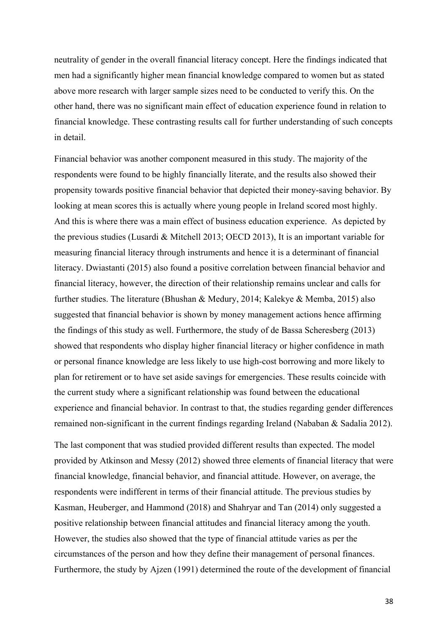neutrality of gender in the overall financial literacy concept. Here the findings indicated that men had a significantly higher mean financial knowledge compared to women but as stated above more research with larger sample sizes need to be conducted to verify this. On the other hand, there was no significant main effect of education experience found in relation to financial knowledge. These contrasting results call for further understanding of such concepts in detail.

Financial behavior was another component measured in this study. The majority of the respondents were found to be highly financially literate, and the results also showed their propensity towards positive financial behavior that depicted their money-saving behavior. By looking at mean scores this is actually where young people in Ireland scored most highly. And this is where there was a main effect of business education experience. As depicted by the previous studies (Lusardi & Mitchell 2013; OECD 2013), It is an important variable for measuring financial literacy through instruments and hence it is a determinant of financial literacy. Dwiastanti (2015) also found a positive correlation between financial behavior and financial literacy, however, the direction of their relationship remains unclear and calls for further studies. The literature (Bhushan & Medury, 2014; Kalekye & Memba, 2015) also suggested that financial behavior is shown by money management actions hence affirming the findings of this study as well. Furthermore, the study of de Bassa Scheresberg (2013) showed that respondents who display higher financial literacy or higher confidence in math or personal finance knowledge are less likely to use high-cost borrowing and more likely to plan for retirement or to have set aside savings for emergencies. These results coincide with the current study where a significant relationship was found between the educational experience and financial behavior. In contrast to that, the studies regarding gender differences remained non-significant in the current findings regarding Ireland (Nababan & Sadalia 2012).

The last component that was studied provided different results than expected. The model provided by Atkinson and Messy (2012) showed three elements of financial literacy that were financial knowledge, financial behavior, and financial attitude. However, on average, the respondents were indifferent in terms of their financial attitude. The previous studies by Kasman, Heuberger, and Hammond (2018) and Shahryar and Tan (2014) only suggested a positive relationship between financial attitudes and financial literacy among the youth. However, the studies also showed that the type of financial attitude varies as per the circumstances of the person and how they define their management of personal finances. Furthermore, the study by Ajzen (1991) determined the route of the development of financial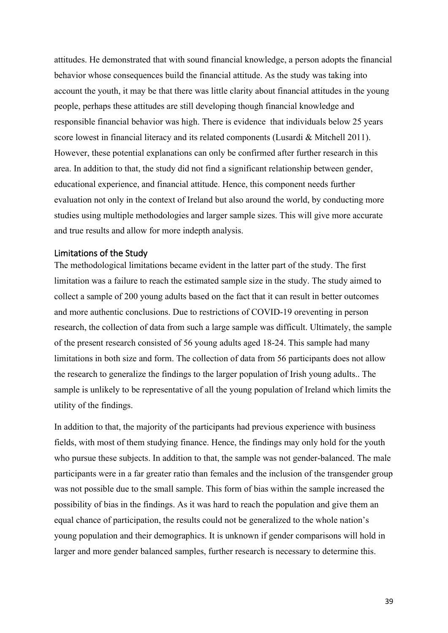attitudes. He demonstrated that with sound financial knowledge, a person adopts the financial behavior whose consequences build the financial attitude. As the study was taking into account the youth, it may be that there was little clarity about financial attitudes in the young people, perhaps these attitudes are still developing though financial knowledge and responsible financial behavior was high. There is evidence that individuals below 25 years score lowest in financial literacy and its related components (Lusardi & Mitchell 2011). However, these potential explanations can only be confirmed after further research in this area. In addition to that, the study did not find a significant relationship between gender, educational experience, and financial attitude. Hence, this component needs further evaluation not only in the context of Ireland but also around the world, by conducting more studies using multiple methodologies and larger sample sizes. This will give more accurate and true results and allow for more indepth analysis.

#### <span id="page-39-0"></span>Limitations of the Study

The methodological limitations became evident in the latter part of the study. The first limitation was a failure to reach the estimated sample size in the study. The study aimed to collect a sample of 200 young adults based on the fact that it can result in better outcomes and more authentic conclusions. Due to restrictions of COVID-19 oreventing in person research, the collection of data from such a large sample was difficult. Ultimately, the sample of the present research consisted of 56 young adults aged 18-24. This sample had many limitations in both size and form. The collection of data from 56 participants does not allow the research to generalize the findings to the larger population of Irish young adults.. The sample is unlikely to be representative of all the young population of Ireland which limits the utility of the findings.

In addition to that, the majority of the participants had previous experience with business fields, with most of them studying finance. Hence, the findings may only hold for the youth who pursue these subjects. In addition to that, the sample was not gender-balanced. The male participants were in a far greater ratio than females and the inclusion of the transgender group was not possible due to the small sample. This form of bias within the sample increased the possibility of bias in the findings. As it was hard to reach the population and give them an equal chance of participation, the results could not be generalized to the whole nation's young population and their demographics. It is unknown if gender comparisons will hold in larger and more gender balanced samples, further research is necessary to determine this.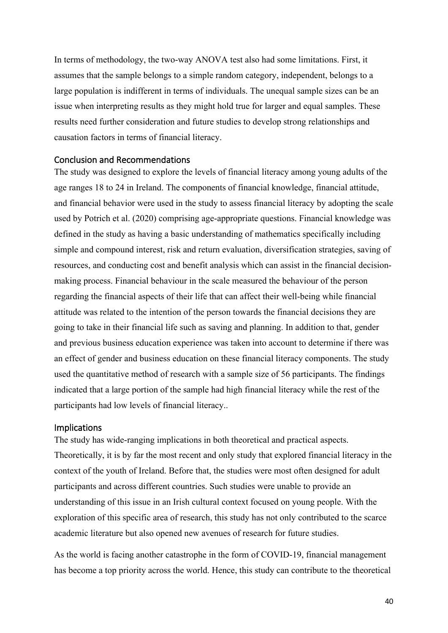In terms of methodology, the two-way ANOVA test also had some limitations. First, it assumes that the sample belongs to a simple random category, independent, belongs to a large population is indifferent in terms of individuals. The unequal sample sizes can be an issue when interpreting results as they might hold true for larger and equal samples. These results need further consideration and future studies to develop strong relationships and causation factors in terms of financial literacy.

#### <span id="page-40-0"></span>Conclusion and Recommendations

The study was designed to explore the levels of financial literacy among young adults of the age ranges 18 to 24 in Ireland. The components of financial knowledge, financial attitude, and financial behavior were used in the study to assess financial literacy by adopting the scale used by Potrich et al. (2020) comprising age-appropriate questions. Financial knowledge was defined in the study as having a basic understanding of mathematics specifically including simple and compound interest, risk and return evaluation, diversification strategies, saving of resources, and conducting cost and benefit analysis which can assist in the financial decisionmaking process. Financial behaviour in the scale measured the behaviour of the person regarding the financial aspects of their life that can affect their well-being while financial attitude was related to the intention of the person towards the financial decisions they are going to take in their financial life such as saving and planning. In addition to that, gender and previous business education experience was taken into account to determine if there was an effect of gender and business education on these financial literacy components. The study used the quantitative method of research with a sample size of 56 participants. The findings indicated that a large portion of the sample had high financial literacy while the rest of the participants had low levels of financial literacy..

#### <span id="page-40-1"></span>Implications

The study has wide-ranging implications in both theoretical and practical aspects. Theoretically, it is by far the most recent and only study that explored financial literacy in the context of the youth of Ireland. Before that, the studies were most often designed for adult participants and across different countries. Such studies were unable to provide an understanding of this issue in an Irish cultural context focused on young people. With the exploration of this specific area of research, this study has not only contributed to the scarce academic literature but also opened new avenues of research for future studies.

As the world is facing another catastrophe in the form of COVID-19, financial management has become a top priority across the world. Hence, this study can contribute to the theoretical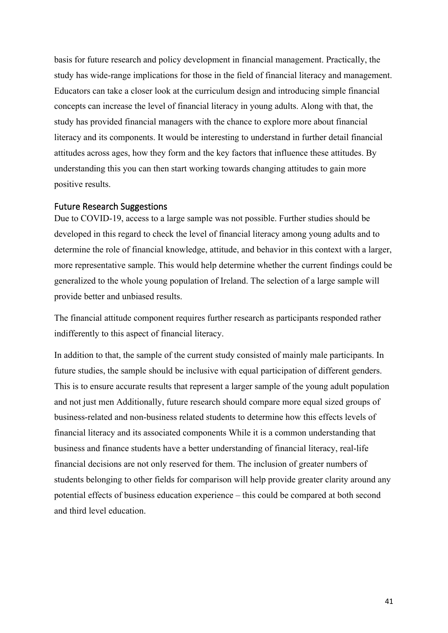basis for future research and policy development in financial management. Practically, the study has wide-range implications for those in the field of financial literacy and management. Educators can take a closer look at the curriculum design and introducing simple financial concepts can increase the level of financial literacy in young adults. Along with that, the study has provided financial managers with the chance to explore more about financial literacy and its components. It would be interesting to understand in further detail financial attitudes across ages, how they form and the key factors that influence these attitudes. By understanding this you can then start working towards changing attitudes to gain more positive results.

## <span id="page-41-0"></span>Future Research Suggestions

Due to COVID-19, access to a large sample was not possible. Further studies should be developed in this regard to check the level of financial literacy among young adults and to determine the role of financial knowledge, attitude, and behavior in this context with a larger, more representative sample. This would help determine whether the current findings could be generalized to the whole young population of Ireland. The selection of a large sample will provide better and unbiased results.

The financial attitude component requires further research as participants responded rather indifferently to this aspect of financial literacy.

In addition to that, the sample of the current study consisted of mainly male participants. In future studies, the sample should be inclusive with equal participation of different genders. This is to ensure accurate results that represent a larger sample of the young adult population and not just men Additionally, future research should compare more equal sized groups of business-related and non-business related students to determine how this effects levels of financial literacy and its associated components While it is a common understanding that business and finance students have a better understanding of financial literacy, real-life financial decisions are not only reserved for them. The inclusion of greater numbers of students belonging to other fields for comparison will help provide greater clarity around any potential effects of business education experience – this could be compared at both second and third level education.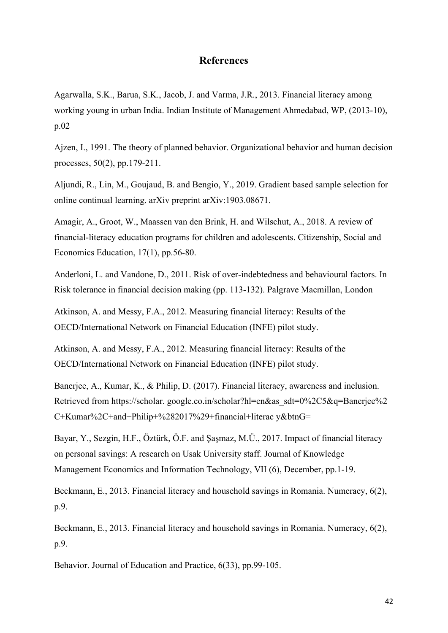# **References**

<span id="page-42-0"></span>Agarwalla, S.K., Barua, S.K., Jacob, J. and Varma, J.R., 2013. Financial literacy among working young in urban India. Indian Institute of Management Ahmedabad, WP, (2013-10), p.02

Ajzen, I., 1991. The theory of planned behavior. Organizational behavior and human decision processes, 50(2), pp.179-211.

Aljundi, R., Lin, M., Goujaud, B. and Bengio, Y., 2019. Gradient based sample selection for online continual learning. arXiv preprint arXiv:1903.08671.

Amagir, A., Groot, W., Maassen van den Brink, H. and Wilschut, A., 2018. A review of financial-literacy education programs for children and adolescents. Citizenship, Social and Economics Education, 17(1), pp.56-80.

Anderloni, L. and Vandone, D., 2011. Risk of over-indebtedness and behavioural factors. In Risk tolerance in financial decision making (pp. 113-132). Palgrave Macmillan, London

Atkinson, A. and Messy, F.A., 2012. Measuring financial literacy: Results of the OECD/International Network on Financial Education (INFE) pilot study.

Atkinson, A. and Messy, F.A., 2012. Measuring financial literacy: Results of the OECD/International Network on Financial Education (INFE) pilot study.

Banerjee, A., Kumar, K., & Philip, D. (2017). Financial literacy, awareness and inclusion. Retrieved from https://scholar. google.co.in/scholar?hl=en&as\_sdt=0%2C5&q=Banerjee%2 C+Kumar%2C+and+Philip+%282017%29+financial+literac y&btnG=

Bayar, Y., Sezgin, H.F., Öztürk, Ö.F. and Şaşmaz, M.Ü., 2017. Impact of financial literacy on personal savings: A research on Usak University staff. Journal of Knowledge Management Economics and Information Technology, VII (6), December, pp.1-19.

Beckmann, E., 2013. Financial literacy and household savings in Romania. Numeracy, 6(2), p.9.

Beckmann, E., 2013. Financial literacy and household savings in Romania. Numeracy, 6(2), p.9.

Behavior. Journal of Education and Practice, 6(33), pp.99-105.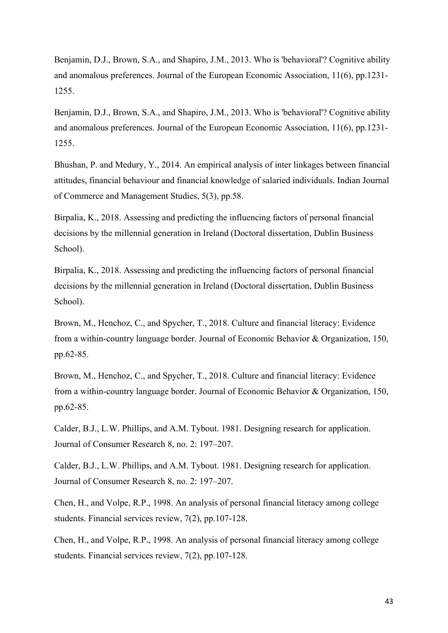Benjamin, D.J., Brown, S.A., and Shapiro, J.M., 2013. Who is 'behavioral'? Cognitive ability and anomalous preferences. Journal of the European Economic Association, 11(6), pp.1231- 1255.

Benjamin, D.J., Brown, S.A., and Shapiro, J.M., 2013. Who is 'behavioral'? Cognitive ability and anomalous preferences. Journal of the European Economic Association, 11(6), pp.1231- 1255.

Bhushan, P. and Medury, Y., 2014. An empirical analysis of inter linkages between financial attitudes, financial behaviour and financial knowledge of salaried individuals. Indian Journal of Commerce and Management Studies, 5(3), pp.58.

Birpalia, K., 2018. Assessing and predicting the influencing factors of personal financial decisions by the millennial generation in Ireland (Doctoral dissertation, Dublin Business School).

Birpalia, K., 2018. Assessing and predicting the influencing factors of personal financial decisions by the millennial generation in Ireland (Doctoral dissertation, Dublin Business School).

Brown, M., Henchoz, C., and Spycher, T., 2018. Culture and financial literacy: Evidence from a within-country language border. Journal of Economic Behavior & Organization, 150, pp.62-85.

Brown, M., Henchoz, C., and Spycher, T., 2018. Culture and financial literacy: Evidence from a within-country language border. Journal of Economic Behavior & Organization, 150, pp.62-85.

Calder, B.J., L.W. Phillips, and A.M. Tybout. 1981. Designing research for application. Journal of Consumer Research 8, no. 2: 197–207.

Calder, B.J., L.W. Phillips, and A.M. Tybout. 1981. Designing research for application. Journal of Consumer Research 8, no. 2: 197–207.

Chen, H., and Volpe, R.P., 1998. An analysis of personal financial literacy among college students. Financial services review, 7(2), pp.107-128.

Chen, H., and Volpe, R.P., 1998. An analysis of personal financial literacy among college students. Financial services review, 7(2), pp.107-128.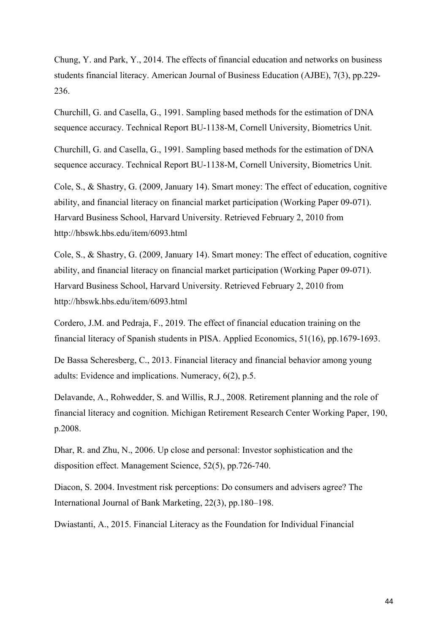Chung, Y. and Park, Y., 2014. The effects of financial education and networks on business students financial literacy. American Journal of Business Education (AJBE), 7(3), pp.229- 236.

Churchill, G. and Casella, G., 1991. Sampling based methods for the estimation of DNA sequence accuracy. Technical Report BU-1138-M, Cornell University, Biometrics Unit.

Churchill, G. and Casella, G., 1991. Sampling based methods for the estimation of DNA sequence accuracy. Technical Report BU-1138-M, Cornell University, Biometrics Unit.

Cole, S., & Shastry, G. (2009, January 14). Smart money: The effect of education, cognitive ability, and financial literacy on financial market participation (Working Paper 09-071). Harvard Business School, Harvard University. Retrieved February 2, 2010 from http://hbswk.hbs.edu/item/6093.html

Cole, S., & Shastry, G. (2009, January 14). Smart money: The effect of education, cognitive ability, and financial literacy on financial market participation (Working Paper 09-071). Harvard Business School, Harvard University. Retrieved February 2, 2010 from http://hbswk.hbs.edu/item/6093.html

Cordero, J.M. and Pedraja, F., 2019. The effect of financial education training on the financial literacy of Spanish students in PISA. Applied Economics, 51(16), pp.1679-1693.

De Bassa Scheresberg, C., 2013. Financial literacy and financial behavior among young adults: Evidence and implications. Numeracy, 6(2), p.5.

Delavande, A., Rohwedder, S. and Willis, R.J., 2008. Retirement planning and the role of financial literacy and cognition. Michigan Retirement Research Center Working Paper, 190, p.2008.

Dhar, R. and Zhu, N., 2006. Up close and personal: Investor sophistication and the disposition effect. Management Science, 52(5), pp.726-740.

Diacon, S. 2004. Investment risk perceptions: Do consumers and advisers agree? The International Journal of Bank Marketing, 22(3), pp.180–198.

Dwiastanti, A., 2015. Financial Literacy as the Foundation for Individual Financial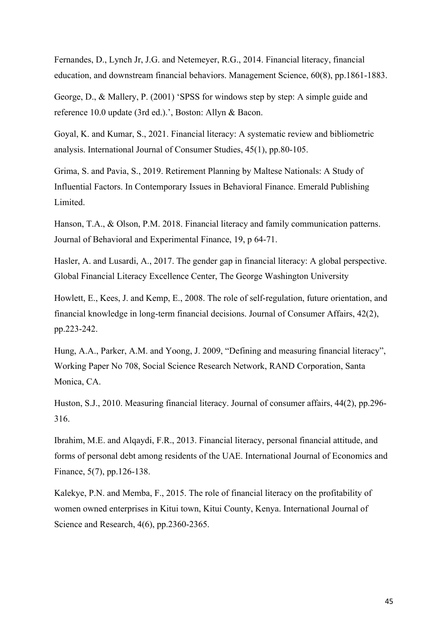Fernandes, D., Lynch Jr, J.G. and Netemeyer, R.G., 2014. Financial literacy, financial education, and downstream financial behaviors. Management Science, 60(8), pp.1861-1883.

George, D., & Mallery, P. (2001) 'SPSS for windows step by step: A simple guide and reference 10.0 update (3rd ed.).', Boston: Allyn & Bacon.

Goyal, K. and Kumar, S., 2021. Financial literacy: A systematic review and bibliometric analysis. International Journal of Consumer Studies, 45(1), pp.80-105.

Grima, S. and Pavia, S., 2019. Retirement Planning by Maltese Nationals: A Study of Influential Factors. In Contemporary Issues in Behavioral Finance. Emerald Publishing Limited.

Hanson, T.A., & Olson, P.M. 2018. Financial literacy and family communication patterns. Journal of Behavioral and Experimental Finance, 19, p 64-71.

Hasler, A. and Lusardi, A., 2017. The gender gap in financial literacy: A global perspective. Global Financial Literacy Excellence Center, The George Washington University

Howlett, E., Kees, J. and Kemp, E., 2008. The role of self-regulation, future orientation, and financial knowledge in long-term financial decisions. Journal of Consumer Affairs, 42(2), pp.223-242.

Hung, A.A., Parker, A.M. and Yoong, J. 2009, "Defining and measuring financial literacy", Working Paper No 708, Social Science Research Network, RAND Corporation, Santa Monica, CA.

Huston, S.J., 2010. Measuring financial literacy. Journal of consumer affairs, 44(2), pp.296- 316.

Ibrahim, M.E. and Alqaydi, F.R., 2013. Financial literacy, personal financial attitude, and forms of personal debt among residents of the UAE. International Journal of Economics and Finance, 5(7), pp.126-138.

Kalekye, P.N. and Memba, F., 2015. The role of financial literacy on the profitability of women owned enterprises in Kitui town, Kitui County, Kenya. International Journal of Science and Research, 4(6), pp.2360-2365.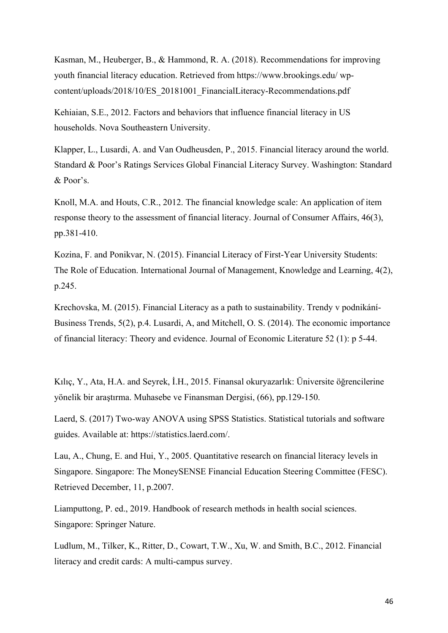Kasman, M., Heuberger, B., & Hammond, R. A. (2018). Recommendations for improving youth financial literacy education. Retrieved from https://www.brookings.edu/ wpcontent/uploads/2018/10/ES\_20181001\_FinancialLiteracy-Recommendations.pdf

Kehiaian, S.E., 2012. Factors and behaviors that influence financial literacy in US households. Nova Southeastern University.

Klapper, L., Lusardi, A. and Van Oudheusden, P., 2015. Financial literacy around the world. Standard & Poor's Ratings Services Global Financial Literacy Survey. Washington: Standard & Poor's.

Knoll, M.A. and Houts, C.R., 2012. The financial knowledge scale: An application of item response theory to the assessment of financial literacy. Journal of Consumer Affairs, 46(3), pp.381-410.

Kozina, F. and Ponikvar, N. (2015). Financial Literacy of First-Year University Students: The Role of Education. International Journal of Management, Knowledge and Learning, 4(2), p.245.

Krechovska, M. (2015). Financial Literacy as a path to sustainability. Trendy v podnikání-Business Trends, 5(2), p.4. Lusardi, A, and Mitchell, O. S. (2014). The economic importance of financial literacy: Theory and evidence. Journal of Economic Literature 52 (1): p 5-44.

Kılıç, Y., Ata, H.A. and Seyrek, İ.H., 2015. Finansal okuryazarlık: Üniversite öğrencilerine yönelik bir araştırma. Muhasebe ve Finansman Dergisi, (66), pp.129-150.

Laerd, S. (2017) Two-way ANOVA using SPSS Statistics. Statistical tutorials and software guides. Available at: https://statistics.laerd.com/.

Lau, A., Chung, E. and Hui, Y., 2005. Quantitative research on financial literacy levels in Singapore. Singapore: The MoneySENSE Financial Education Steering Committee (FESC). Retrieved December, 11, p.2007.

Liamputtong, P. ed., 2019. Handbook of research methods in health social sciences. Singapore: Springer Nature.

Ludlum, M., Tilker, K., Ritter, D., Cowart, T.W., Xu, W. and Smith, B.C., 2012. Financial literacy and credit cards: A multi-campus survey.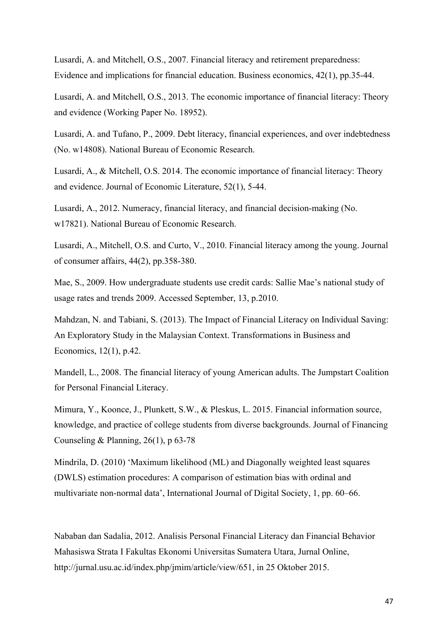Lusardi, A. and Mitchell, O.S., 2007. Financial literacy and retirement preparedness: Evidence and implications for financial education. Business economics, 42(1), pp.35-44.

Lusardi, A. and Mitchell, O.S., 2013. The economic importance of financial literacy: Theory and evidence (Working Paper No. 18952).

Lusardi, A. and Tufano, P., 2009. Debt literacy, financial experiences, and over indebtedness (No. w14808). National Bureau of Economic Research.

Lusardi, A., & Mitchell, O.S. 2014. The economic importance of financial literacy: Theory and evidence. Journal of Economic Literature, 52(1), 5-44.

Lusardi, A., 2012. Numeracy, financial literacy, and financial decision-making (No. w17821). National Bureau of Economic Research.

Lusardi, A., Mitchell, O.S. and Curto, V., 2010. Financial literacy among the young. Journal of consumer affairs, 44(2), pp.358-380.

Mae, S., 2009. How undergraduate students use credit cards: Sallie Mae's national study of usage rates and trends 2009. Accessed September, 13, p.2010.

Mahdzan, N. and Tabiani, S. (2013). The Impact of Financial Literacy on Individual Saving: An Exploratory Study in the Malaysian Context. Transformations in Business and Economics, 12(1), p.42.

Mandell, L., 2008. The financial literacy of young American adults. The Jumpstart Coalition for Personal Financial Literacy.

Mimura, Y., Koonce, J., Plunkett, S.W., & Pleskus, L. 2015. Financial information source, knowledge, and practice of college students from diverse backgrounds. Journal of Financing Counseling & Planning,  $26(1)$ , p 63-78

Mindrila, D. (2010) 'Maximum likelihood (ML) and Diagonally weighted least squares (DWLS) estimation procedures: A comparison of estimation bias with ordinal and multivariate non-normal data', International Journal of Digital Society, 1, pp. 60–66.

Nababan dan Sadalia, 2012. Analisis Personal Financial Literacy dan Financial Behavior Mahasiswa Strata I Fakultas Ekonomi Universitas Sumatera Utara, Jurnal Online, http://jurnal.usu.ac.id/index.php/jmim/article/view/651, in 25 Oktober 2015.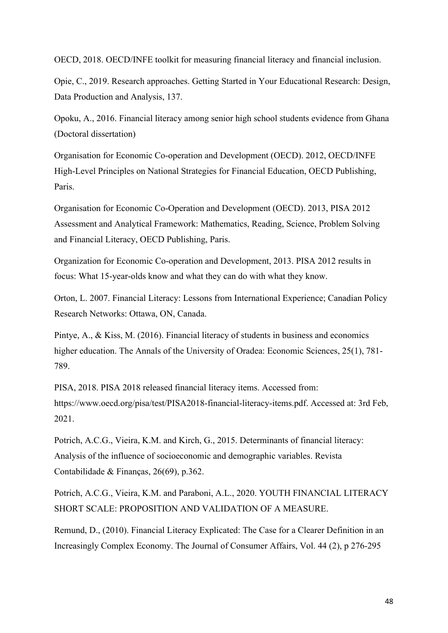OECD, 2018. OECD/INFE toolkit for measuring financial literacy and financial inclusion.

Opie, C., 2019. Research approaches. Getting Started in Your Educational Research: Design, Data Production and Analysis, 137.

Opoku, A., 2016. Financial literacy among senior high school students evidence from Ghana (Doctoral dissertation)

Organisation for Economic Co-operation and Development (OECD). 2012, OECD/INFE High-Level Principles on National Strategies for Financial Education, OECD Publishing, Paris.

Organisation for Economic Co-Operation and Development (OECD). 2013, PISA 2012 Assessment and Analytical Framework: Mathematics, Reading, Science, Problem Solving and Financial Literacy, OECD Publishing, Paris.

Organization for Economic Co-operation and Development, 2013. PISA 2012 results in focus: What 15-year-olds know and what they can do with what they know.

Orton, L. 2007. Financial Literacy: Lessons from International Experience; Canadian Policy Research Networks: Ottawa, ON, Canada.

Pintye, A., & Kiss, M. (2016). Financial literacy of students in business and economics higher education. The Annals of the University of Oradea: Economic Sciences, 25(1), 781- 789.

PISA, 2018. PISA 2018 released financial literacy items. Accessed from: https://www.oecd.org/pisa/test/PISA2018-financial-literacy-items.pdf. Accessed at: 3rd Feb, 2021.

Potrich, A.C.G., Vieira, K.M. and Kirch, G., 2015. Determinants of financial literacy: Analysis of the influence of socioeconomic and demographic variables. Revista Contabilidade & Finanças, 26(69), p.362.

Potrich, A.C.G., Vieira, K.M. and Paraboni, A.L., 2020. YOUTH FINANCIAL LITERACY SHORT SCALE: PROPOSITION AND VALIDATION OF A MEASURE.

Remund, D., (2010). Financial Literacy Explicated: The Case for a Clearer Definition in an Increasingly Complex Economy. The Journal of Consumer Affairs, Vol. 44 (2), p 276-295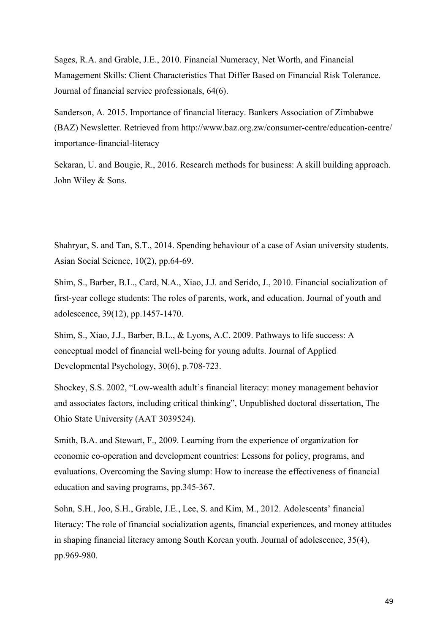Sages, R.A. and Grable, J.E., 2010. Financial Numeracy, Net Worth, and Financial Management Skills: Client Characteristics That Differ Based on Financial Risk Tolerance. Journal of financial service professionals, 64(6).

Sanderson, A. 2015. Importance of financial literacy. Bankers Association of Zimbabwe (BAZ) Newsletter. Retrieved from http://www.baz.org.zw/consumer-centre/education-centre/ importance-financial-literacy

Sekaran, U. and Bougie, R., 2016. Research methods for business: A skill building approach. John Wiley & Sons.

Shahryar, S. and Tan, S.T., 2014. Spending behaviour of a case of Asian university students. Asian Social Science, 10(2), pp.64-69.

Shim, S., Barber, B.L., Card, N.A., Xiao, J.J. and Serido, J., 2010. Financial socialization of first-year college students: The roles of parents, work, and education. Journal of youth and adolescence, 39(12), pp.1457-1470.

Shim, S., Xiao, J.J., Barber, B.L., & Lyons, A.C. 2009. Pathways to life success: A conceptual model of financial well-being for young adults. Journal of Applied Developmental Psychology, 30(6), p.708-723.

Shockey, S.S. 2002, "Low-wealth adult's financial literacy: money management behavior and associates factors, including critical thinking", Unpublished doctoral dissertation, The Ohio State University (AAT 3039524).

Smith, B.A. and Stewart, F., 2009. Learning from the experience of organization for economic co-operation and development countries: Lessons for policy, programs, and evaluations. Overcoming the Saving slump: How to increase the effectiveness of financial education and saving programs, pp.345-367.

Sohn, S.H., Joo, S.H., Grable, J.E., Lee, S. and Kim, M., 2012. Adolescents' financial literacy: The role of financial socialization agents, financial experiences, and money attitudes in shaping financial literacy among South Korean youth. Journal of adolescence, 35(4), pp.969-980.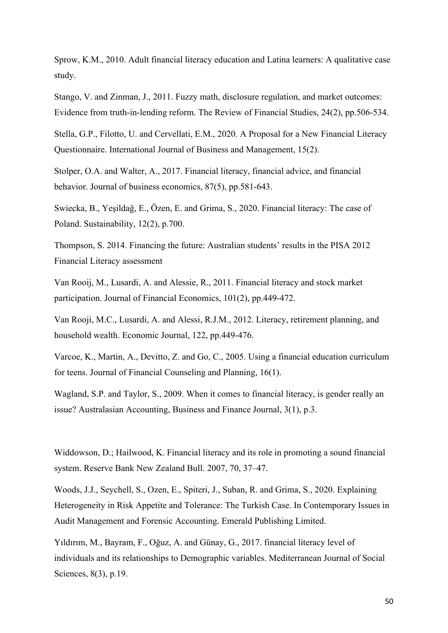Sprow, K.M., 2010. Adult financial literacy education and Latina learners: A qualitative case study.

Stango, V. and Zinman, J., 2011. Fuzzy math, disclosure regulation, and market outcomes: Evidence from truth-in-lending reform. The Review of Financial Studies, 24(2), pp.506-534.

Stella, G.P., Filotto, U. and Cervellati, E.M., 2020. A Proposal for a New Financial Literacy Questionnaire. International Journal of Business and Management, 15(2).

Stolper, O.A. and Walter, A., 2017. Financial literacy, financial advice, and financial behavior. Journal of business economics, 87(5), pp.581-643.

Swiecka, B., Yeşildağ, E., Özen, E. and Grima, S., 2020. Financial literacy: The case of Poland. Sustainability, 12(2), p.700.

Thompson, S. 2014. Financing the future: Australian students' results in the PISA 2012 Financial Literacy assessment

Van Rooij, M., Lusardi, A. and Alessie, R., 2011. Financial literacy and stock market participation. Journal of Financial Economics, 101(2), pp.449-472.

Van Rooji, M.C., Lusardi, A. and Alessi, R.J.M., 2012. Literacy, retirement planning, and household wealth. Economic Journal, 122, pp.449-476.

Varcoe, K., Martin, A., Devitto, Z. and Go, C., 2005. Using a financial education curriculum for teens. Journal of Financial Counseling and Planning, 16(1).

Wagland, S.P. and Taylor, S., 2009. When it comes to financial literacy, is gender really an issue? Australasian Accounting, Business and Finance Journal, 3(1), p.3.

Widdowson, D.; Hailwood, K. Financial literacy and its role in promoting a sound financial system. Reserve Bank New Zealand Bull. 2007, 70, 37–47.

Woods, J.J., Seychell, S., Ozen, E., Spiteri, J., Suban, R. and Grima, S., 2020. Explaining Heterogeneity in Risk Appetite and Tolerance: The Turkish Case. In Contemporary Issues in Audit Management and Forensic Accounting. Emerald Publishing Limited.

Yıldırım, M., Bayram, F., Oğuz, A. and Günay, G., 2017. financial literacy level of individuals and its relationships to Demographic variables. Mediterranean Journal of Social Sciences, 8(3), p.19.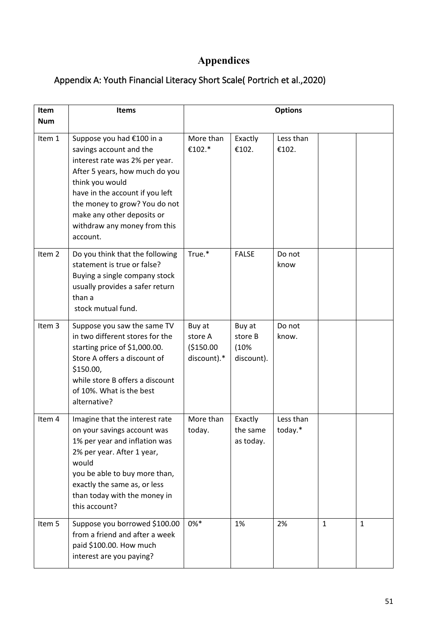# **Appendices**

# <span id="page-51-1"></span><span id="page-51-0"></span>Appendix A: Youth Financial Literacy Short Scale( Portrich et al.,2020)

| Item              | <b>Items</b>                                                                                                                                                                                                                                                                              | <b>Options</b>                                  |                                         |                      |   |   |
|-------------------|-------------------------------------------------------------------------------------------------------------------------------------------------------------------------------------------------------------------------------------------------------------------------------------------|-------------------------------------------------|-----------------------------------------|----------------------|---|---|
| <b>Num</b>        |                                                                                                                                                                                                                                                                                           |                                                 |                                         |                      |   |   |
| Item 1            | Suppose you had €100 in a<br>savings account and the<br>interest rate was 2% per year.<br>After 5 years, how much do you<br>think you would<br>have in the account if you left<br>the money to grow? You do not<br>make any other deposits or<br>withdraw any money from this<br>account. | More than<br>€102.*                             | Exactly<br>€102.                        | Less than<br>€102.   |   |   |
| Item <sub>2</sub> | Do you think that the following<br>statement is true or false?<br>Buying a single company stock<br>usually provides a safer return<br>than a<br>stock mutual fund.                                                                                                                        | True.*                                          | <b>FALSE</b>                            | Do not<br>know       |   |   |
| Item <sub>3</sub> | Suppose you saw the same TV<br>in two different stores for the<br>starting price of \$1,000.00.<br>Store A offers a discount of<br>\$150.00,<br>while store B offers a discount<br>of 10%. What is the best<br>alternative?                                                               | Buy at<br>store A<br>( \$150.00]<br>discount).* | Buy at<br>store B<br>(10%<br>discount). | Do not<br>know.      |   |   |
| Item 4            | Imagine that the interest rate<br>on your savings account was<br>1% per year and inflation was<br>2% per year. After 1 year,<br>would<br>you be able to buy more than,<br>exactly the same as, or less<br>than today with the money in<br>this account?                                   | More than<br>today.                             | Exactly<br>the same<br>as today.        | Less than<br>today.* |   |   |
| Item 5            | Suppose you borrowed \$100.00<br>from a friend and after a week<br>paid \$100.00. How much<br>interest are you paying?                                                                                                                                                                    | $0\%*$                                          | 1%                                      | 2%                   | 1 | 1 |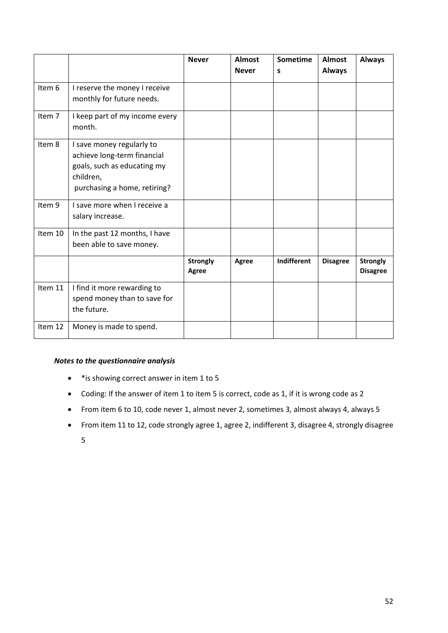|         |                                | <b>Never</b>    | <b>Almost</b><br><b>Never</b> | Sometime<br>s | <b>Almost</b><br><b>Always</b> | <b>Always</b>   |
|---------|--------------------------------|-----------------|-------------------------------|---------------|--------------------------------|-----------------|
|         |                                |                 |                               |               |                                |                 |
| Item 6  | I reserve the money I receive  |                 |                               |               |                                |                 |
|         | monthly for future needs.      |                 |                               |               |                                |                 |
| Item 7  | I keep part of my income every |                 |                               |               |                                |                 |
|         | month.                         |                 |                               |               |                                |                 |
| Item 8  | I save money regularly to      |                 |                               |               |                                |                 |
|         | achieve long-term financial    |                 |                               |               |                                |                 |
|         | goals, such as educating my    |                 |                               |               |                                |                 |
|         | children,                      |                 |                               |               |                                |                 |
|         | purchasing a home, retiring?   |                 |                               |               |                                |                 |
| Item 9  | I save more when I receive a   |                 |                               |               |                                |                 |
|         | salary increase.               |                 |                               |               |                                |                 |
| Item 10 | In the past 12 months, I have  |                 |                               |               |                                |                 |
|         | been able to save money.       |                 |                               |               |                                |                 |
|         |                                | <b>Strongly</b> | <b>Agree</b>                  | Indifferent   | <b>Disagree</b>                | <b>Strongly</b> |
|         |                                | <b>Agree</b>    |                               |               |                                | <b>Disagree</b> |
| Item 11 | I find it more rewarding to    |                 |                               |               |                                |                 |
|         | spend money than to save for   |                 |                               |               |                                |                 |
|         | the future.                    |                 |                               |               |                                |                 |
| Item 12 | Money is made to spend.        |                 |                               |               |                                |                 |

#### *Notes to the questionnaire analysis*

- \*is showing correct answer in item 1 to 5
- Coding: If the answer of item 1 to item 5 is correct, code as 1, if it is wrong code as 2
- From item 6 to 10, code never 1, almost never 2, sometimes 3, almost always 4, always 5
- From item 11 to 12, code strongly agree 1, agree 2, indifferent 3, disagree 4, strongly disagree
	- 5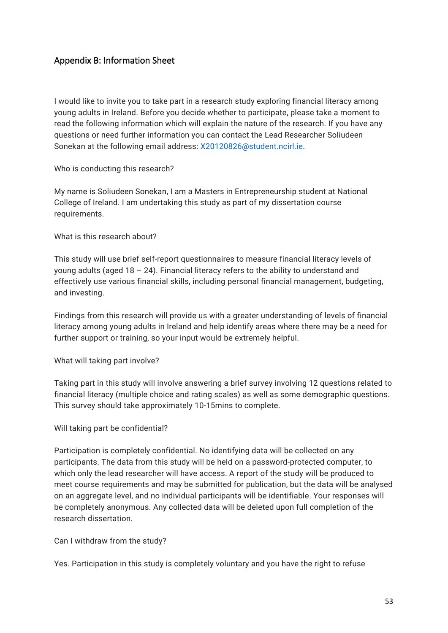# <span id="page-53-0"></span>Appendix B: Information Sheet

I would like to invite you to take part in a research study exploring financial literacy among young adults in Ireland. Before you decide whether to participate, please take a moment to read the following information which will explain the nature of the research. If you have any questions or need further information you can contact the Lead Researcher Soliudeen Sonekan at the following email address: [X20120826@student.ncirl.ie.](mailto:X20120826@student.ncirl.ie)

Who is conducting this research?

My name is Soliudeen Sonekan, I am a Masters in Entrepreneurship student at National College of Ireland. I am undertaking this study as part of my dissertation course requirements.

What is this research about?

This study will use brief self-report questionnaires to measure financial literacy levels of young adults (aged  $18 - 24$ ). Financial literacy refers to the ability to understand and effectively use various financial skills, including personal financial management, budgeting, and investing.

Findings from this research will provide us with a greater understanding of levels of financial literacy among young adults in Ireland and help identify areas where there may be a need for further support or training, so your input would be extremely helpful.

What will taking part involve?

Taking part in this study will involve answering a brief survey involving 12 questions related to financial literacy (multiple choice and rating scales) as well as some demographic questions. This survey should take approximately 10-15mins to complete.

Will taking part be confidential?

Participation is completely confidential. No identifying data will be collected on any participants. The data from this study will be held on a password-protected computer, to which only the lead researcher will have access. A report of the study will be produced to meet course requirements and may be submitted for publication, but the data will be analysed on an aggregate level, and no individual participants will be identifiable. Your responses will be completely anonymous. Any collected data will be deleted upon full completion of the research dissertation.

Can I withdraw from the study?

Yes. Participation in this study is completely voluntary and you have the right to refuse